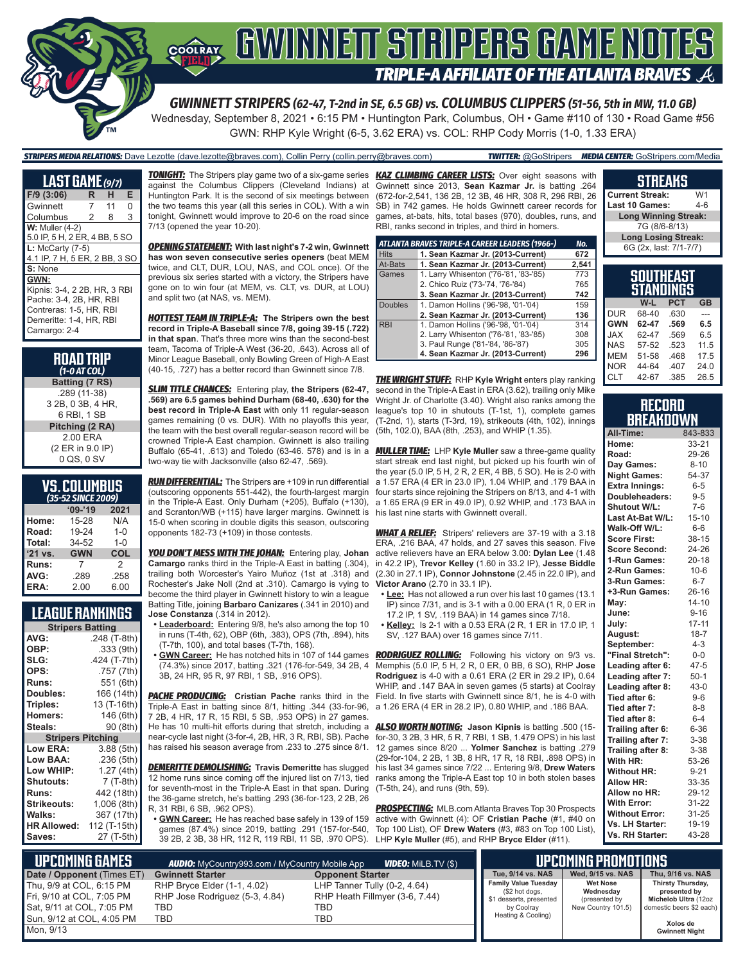

Wednesday, September 8, 2021 • 6:15 PM • Huntington Park, Columbus, OH • Game #110 of 130 • Road Game #56

GWN: RHP Kyle Wright (6-5, 3.62 ERA) vs. COL: RHP Cody Morris (1-0, 1.33 ERA)

#### *STRIPERS MEDIA RELATIONS:* Dave Lezotte (dave.lezotte@braves.com), Collin Perry (collin.perry@braves.com) *TWITTER:* @GoStripers *MEDIA CENTER:* GoStripers.com/Media

| LAST GAME (9/7)                                                                                                                       |   |    |   |
|---------------------------------------------------------------------------------------------------------------------------------------|---|----|---|
| $F/9$ (3:06)                                                                                                                          | R | н  | Е |
| Gwinnett                                                                                                                              | 7 | 11 | 0 |
| Columbus                                                                                                                              | 2 | 8  | 3 |
| $W:$ Muller $(4-2)$                                                                                                                   |   |    |   |
| 5.0 IP, 5 H, 2 ER, 4 BB, 5 SO                                                                                                         |   |    |   |
| $L:$ McCarty $(7-5)$<br>4.1 IP, 7 H, 5 ER, 2 BB, 3 SO                                                                                 |   |    |   |
| S: None                                                                                                                               |   |    |   |
| GWN:<br>Kipnis: 3-4, 2 2B, HR, 3 RBI<br>Pache: 3-4, 2B, HR, RBI<br>Contreras: 1-5, HR, RBI<br>Demeritte: 1-4, HR, RBI<br>Camargo: 2-4 |   |    |   |

| <b>ROAD TRIP</b><br>$(1-0 AT COL)$ |
|------------------------------------|
| Batting (7 RS)                     |
| .289 (11-38)                       |
| 3 2B, 0 3B, 4 HR,                  |
| 6 RBI, 1 SB                        |
| Pitching (2 RA)                    |
| 2.00 ERA                           |
| (2 ER in 9.0 IP)                   |
| 0 QS, 0 SV                         |

### **VS. COLUMBUS**

|         | (35-52 SINCE 2009) |            |
|---------|--------------------|------------|
|         | $09 - 19$          | 2021       |
| Home:   | 15-28              | N/A        |
| Road:   | 19-24              | $1 - 0$    |
| Total:  | 34-52              | $1 - 0$    |
| '21 vs. | <b>GWN</b>         | <b>COL</b> |
| Runs:   | 7                  | 2          |
| AVG:    | .289               | .258       |
| ERA:    | 2.00               | 6.00       |

### **LEAGUE RANKINGS**

| <b>Stripers Batting</b>  |              |
|--------------------------|--------------|
| AVG:                     | .248 (T-8th) |
| OBP:                     | .333 (9th)   |
| SLG:                     | .424 (T-7th) |
| OPS:                     | .757 (7th)   |
| <b>Runs:</b>             | 551 (6th)    |
| Doubles:                 | 166 (14th)   |
| Triples:                 | 13 (T-16th)  |
| <b>Homers:</b>           | 146 (6th)    |
| Steals:                  | 90 (8th)     |
| <b>Stripers Pitching</b> |              |
| <b>Low ERA:</b>          | 3.88 (5th)   |
| Low BAA:                 | .236 (5th)   |
| Low WHIP:                | 1.27 (4th)   |
| <b>Shutouts:</b>         | 7 (T-8th)    |
| <b>Runs:</b>             | 442 (18th)   |
| <b>Strikeouts:</b>       | 1,006 (8th)  |
| Walks:                   | 367 (17th)   |
| <b>HR Allowed:</b>       | 112 (T-15th) |
| Saves:                   | 27 (T-5th)   |
|                          |              |

against the Columbus Clippers (Cleveland Indians) at Gwinnett since 2013, **Sean Kazmar Jr.** is batting .264 Huntington Park. It is the second of six meetings between the two teams this year (all this series in COL). With a win tonight, Gwinnett would improve to 20-6 on the road since 7/13 (opened the year 10-20).

*OPENING STATEMENT:* **With last night's 7-2 win, Gwinnett has won seven consecutive series openers** (beat MEM twice, and CLT, DUR, LOU, NAS, and COL once). Of the previous six series started with a victory, the Stripers have gone on to win four (at MEM, vs. CLT, vs. DUR, at LOU) and split two (at NAS, vs. MEM).

*HOTTEST TEAM IN TRIPLE-A:* **The Stripers own the best record in Triple-A Baseball since 7/8, going 39-15 (.722) in that span**. That's three more wins than the second-best team, Tacoma of Triple-A West (36-20, .643). Across all of Minor League Baseball, only Bowling Green of High-A East (40-15, .727) has a better record than Gwinnett since 7/8.

*SLIM TITLE CHANCES:* Entering play, **the Stripers (62-47, .569) are 6.5 games behind Durham (68-40, .630) for the best record in Triple-A East** with only 11 regular-season games remaining (0 vs. DUR). With no playoffs this year, the team with the best overall regular-season record will be crowned Triple-A East champion. Gwinnett is also trailing Buffalo (65-41, .613) and Toledo (63-46. 578) and is in a two-way tie with Jacksonville (also 62-47, .569).

*RUN DIFFERENTIAL:* The Stripers are +109 in run differential (outscoring opponents 551-442), the fourth-largest margin in the Triple-A East. Only Durham (+205), Buffalo (+130), and Scranton/WB (+115) have larger margins. Gwinnett is his last nine starts with Gwinnett overall. 15-0 when scoring in double digits this season, outscoring opponents 182-73 (+109) in those contests.

*YOU DON'T MESS WITH THE JOHAN:* Entering play, **Johan Camargo** ranks third in the Triple-A East in batting (.304), trailing both Worcester's Yairo Muñoz (1st at .318) and Rochester's Jake Noll (2nd at .310). Camargo is vying to become the third player in Gwinnett history to win a league Batting Title, joining **Barbaro Canizares** (.341 in 2010) and **Jose Constanza** (.314 in 2012).

- **• Leaderboard:** Entering 9/8, he's also among the top 10 in runs (T-4th, 62), OBP (6th, .383), OPS (7th, .894), hits (T-7th, 100), and total bases (T-7th, 168).
- **• GWN Career:** He has notched hits in 107 of 144 games (74.3%) since 2017, batting .321 (176-for-549, 34 2B, 4 3B, 24 HR, 95 R, 97 RBI, 1 SB, .916 OPS).

*PACHE PRODUCING:* **Cristian Pache** ranks third in the Field. In five starts with Gwinnett since 8/1, he is 4-0 with Triple-A East in batting since 8/1, hitting .344 (33-for-96, 7 2B, 4 HR, 17 R, 15 RBI, 5 SB, .953 OPS) in 27 games. He has 10 multi-hit efforts during that stretch, including a *ALSO WORTH NOTING:* **Jason Kipnis** is batting .500 (15 near-cycle last night (3-for-4, 2B, HR, 3 R, RBI, SB). Pache has raised his season average from .233 to .275 since 8/1.

*DEMERITTE DEMOLISHING:* **Travis Demeritte** has slugged 12 home runs since coming off the injured list on 7/13, tied for seventh-most in the Triple-A East in that span. During the 36-game stretch, he's batting .293 (36-for-123, 2 2B, 26 R, 31 RBI, 6 SB, .962 OPS).

**• GWN Career:** He has reached base safely in 139 of 159 games (87.4%) since 2019, batting .291 (157-for-540, 39 2B, 2 3B, 38 HR, 112 R, 119 RBI, 11 SB, .970 OPS). LHP **Kyle Muller** (#5), and RHP **Bryce Elder** (#11).

*TONIGHT:* The Stripers play game two of a six-game series *KAZ CLIMBING CAREER LISTS:* Over eight seasons with (672-for-2,541, 136 2B, 12 3B, 46 HR, 308 R, 296 RBI, 26 SB) in 742 games. He holds Gwinnett career records for games, at-bats, hits, total bases (970), doubles, runs, and RBI, ranks second in triples, and third in homers.

|                | ATLANTA BRAVES TRIPLE-A CAREER LEADERS (1966-) | No.   |
|----------------|------------------------------------------------|-------|
| <b>Hits</b>    | 1. Sean Kazmar Jr. (2013-Current)              | 672   |
| At-Bats        | 1. Sean Kazmar Jr. (2013-Current)              | 2,541 |
| Games          | 1. Larry Whisenton ('76-'81, '83-'85)          | 773   |
|                | 2. Chico Ruiz ('73-'74, '76-'84)               | 765   |
|                | 3. Sean Kazmar Jr. (2013-Current)              | 742   |
| <b>Doubles</b> | 1. Damon Hollins ('96-'98, '01-'04)            | 159   |
|                | 2. Sean Kazmar Jr. (2013-Current)              | 136   |
| <b>RBI</b>     | 1. Damon Hollins ('96-'98, '01-'04)            | 314   |
|                | 2. Larry Whisenton ('76-'81, '83-'85)          | 308   |
|                | 3. Paul Runge ('81-'84, '86-'87)               | 305   |
|                | 4. Sean Kazmar Jr. (2013-Current)              | 296   |

*THE WRIGHT STUFF:* RHP **Kyle Wright** enters play ranking second in the Triple-A East in ERA (3.62), trailing only Mike Wright Jr. of Charlotte (3.40). Wright also ranks among the league's top 10 in shutouts (T-1st, 1), complete games (T-2nd, 1), starts (T-3rd, 19), strikeouts (4th, 102), innings (5th, 102.0), BAA (8th, .253), and WHIP (1.35).

*MULLER TIME:* LHP **Kyle Muller** saw a three-game quality start streak end last night, but picked up his fourth win of the year (5.0 IP, 5 H, 2 R, 2 ER, 4 BB, 5 SO). He is 2-0 with a 1.57 ERA (4 ER in 23.0 IP), 1.04 WHIP, and .179 BAA in four starts since rejoining the Stripers on 8/13, and 4-1 with a 1.65 ERA (9 ER in 49.0 IP), 0.92 WHIP, and .173 BAA in

*WHAT A RELIEF:* Stripers' relievers are 37-19 with a 3.18 ERA, .216 BAA, 47 holds, and 27 saves this season. Five active relievers have an ERA below 3.00: **Dylan Lee** (1.48 in 42.2 IP), **Trevor Kelley** (1.60 in 33.2 IP), **Jesse Biddle** (2.30 in 27.1 IP), **Connor Johnstone** (2.45 in 22.0 IP), and **Victor Arano** (2.70 in 33.1 IP).

- **• Lee:** Has not allowed a run over his last 10 games (13.1  $\overline{IP}$ ) since 7/31, and is 3-1 with a 0.00 ERA (1 R, 0 ER in 17.2 IP, 1 SV, .119 BAA) in 14 games since 7/18.
- **• Kelley:** Is 2-1 with a 0.53 ERA (2 R, 1 ER in 17.0 IP, 1 SV, .127 BAA) over 16 games since 7/11.

**RODRIGUEZ ROLLING:** Following his victory on 9/3 vs. Memphis (5.0 IP, 5 H, 2 R, 0 ER, 0 BB, 6 SO), RHP **Jose Rodriguez** is 4-0 with a 0.61 ERA (2 ER in 29.2 IP), 0.64 WHIP, and .147 BAA in seven games (5 starts) at Coolray a 1.26 ERA (4 ER in 28.2 IP), 0.80 WHIP, and .186 BAA.

for-30, 3 2B, 3 HR, 5 R, 7 RBI, 1 SB, 1.479 OPS) in his last 12 games since 8/20 ... **Yolmer Sanchez** is batting .279 (29-for-104, 2 2B, 1 3B, 8 HR, 17 R, 18 RBI, .898 OPS) in his last 34 games since 7/22 ... Entering 9/8, **Drew Waters** ranks among the Triple-A East top 10 in both stolen bases (T-5th, 24), and runs (9th, 59).

*PROSPECTING:* MLB.com Atlanta Braves Top 30 Prospects active with Gwinnett (4): OF **Cristian Pache** (#1, #40 on Top 100 List), OF **Drew Waters** (#3, #83 on Top 100 List),

#### **SOUTHEAST STANDINGS W-L PCT GB Current Streak:** W1 **Last 10 Games: Long Winning Streak:** 7G (8/6-8/13) **Long Losing Streak:** 6G (2x, last: 7/1-7/7)

**STREAKS**

|            | W-L   | <b>PCT</b> | <b>GB</b> |
|------------|-------|------------|-----------|
| <b>DUR</b> | 68-40 | .630       |           |
| <b>GWN</b> | 62-47 | .569       | 6.5       |
| <b>JAX</b> | 62-47 | .569       | 6.5       |
| <b>NAS</b> | 57-52 | .523       | 11.5      |
| <b>MEM</b> | 51-58 | .468       | 17.5      |
| <b>NOR</b> | 44-64 | .407       | 24.0      |
| <b>CLT</b> | 42-67 | .385       | 26.5      |

#### **RECORD BREAKDOWN**

| All-Time:             | 843-833   |
|-----------------------|-----------|
| Home:                 | 33-21     |
| Road:                 | 29-26     |
| Day Games:            | $8 - 10$  |
| <b>Night Games:</b>   | 54-37     |
| <b>Extra Innings:</b> | $6 - 5$   |
| Doubleheaders:        | $9 - 5$   |
| Shutout W/L:          | $7-6$     |
| Last At-Bat W/L:      | $15 - 10$ |
| Walk-Off W/L:         | $6-6$     |
| <b>Score First:</b>   | 38-15     |
| <b>Score Second:</b>  | 24-26     |
| 1-Run Games:          | $20 - 18$ |
| 2-Run Games:          | $10 - 6$  |
| 3-Run Games:          | $6 - 7$   |
| +3-Run Games:         | $26 - 16$ |
| May:                  | $14 - 10$ |
| June:                 | $9 - 16$  |
| July:                 | $17 - 11$ |
| August:               | $18 - 7$  |
| September:            | $4 - 3$   |
| "Final Stretch":      | $0-0$     |
| Leading after 6:      | $47 - 5$  |
| Leading after 7:      | $50-1$    |
| Leading after 8:      | $43 - 0$  |
| Tied after 6:         | $9 - 6$   |
| Tied after 7:         | $8 - 8$   |
| Tied after 8:         | $6 - 4$   |
| Trailing after 6:     | 6-36      |
| Trailing after 7:     | $3 - 38$  |
| Trailing after 8:     | $3 - 38$  |
| With HR:              | 53-26     |
| <b>Without HR:</b>    | $9 - 21$  |
| <b>Allow HR:</b>      | 33-35     |
| Allow no HR:          | 29-12     |
| <b>With Error:</b>    | 31-22     |
| <b>Without Error:</b> | 31-25     |
| Vs. LH Starter:       | 19-19     |
| Vs. RH Starter:       | 43-28     |

| I UPCOMING GAMES '<br><b>VIDEO:</b> Milb.TV (\$)<br><b>AUDIO:</b> MyCountry993.com / MyCountry Mobile App |                                |                                |                                               | UPCOMING PROMOTIONS          |                                   |
|-----------------------------------------------------------------------------------------------------------|--------------------------------|--------------------------------|-----------------------------------------------|------------------------------|-----------------------------------|
| Date / Opponent (Times ET)                                                                                | <b>Gwinnett Starter</b>        | <b>Opponent Starter</b>        | Tue, 9/14 vs. NAS                             | Wed, 9/15 vs. NAS            | Thu, 9/16 vs. NAS                 |
| Thu. 9/9 at COL. 6:15 PM                                                                                  | RHP Bryce Elder (1-1, 4.02)    | LHP Tanner Tully (0-2, 4.64)   | <b>Family Value Tuesday</b><br>(\$2 hot dogs, | <b>Wet Nose</b><br>Wednesdav | Thirsty Thursday,<br>presented by |
| Fri, 9/10 at COL, 7:05 PM                                                                                 | RHP Jose Rodriguez (5-3, 4.84) | RHP Heath Fillmyer (3-6, 7.44) | \$1 desserts, presented                       | (presented by                | Michelob Ultra (12oz              |
| Sat, 9/11 at COL, 7:05 PM                                                                                 | TBD                            | TBD                            | by Coolray                                    | New Country 101.5)           | domestic beers \$2 each)          |
| Sun, 9/12 at COL, 4:05 PM                                                                                 | TBD                            | TBD                            | Heating & Cooling)                            |                              | Xolos de                          |
| Mon. 9/13                                                                                                 |                                |                                |                                               |                              | <b>Gwinnett Night</b>             |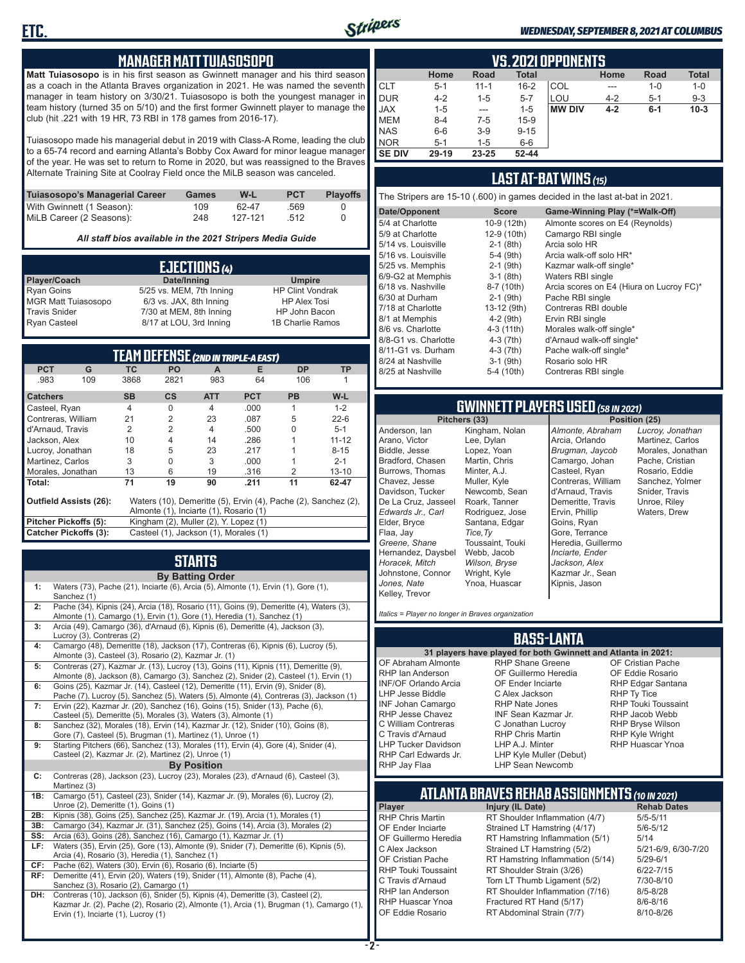

#### *WEDNESDAY, SEPTEMBER 8, 2021 AT COLUMBUS*

#### **MANAGER MATT TUIASOSOPO**

**Matt Tuiasosopo** is in his first season as Gwinnett manager and his third season as a coach in the Atlanta Braves organization in 2021. He was named the seventh manager in team history on 3/30/21. Tuiasosopo is both the youngest manager in team history (turned 35 on 5/10) and the first former Gwinnett player to manage the club (hit .221 with 19 HR, 73 RBI in 178 games from 2016-17).

Tuiasosopo made his managerial debut in 2019 with Class-A Rome, leading the club to a 65-74 record and earning Atlanta's Bobby Cox Award for minor league manager of the year. He was set to return to Rome in 2020, but was reassigned to the Braves Alternate Training Site at Coolray Field once the MiLB season was canceled.

| Tuiasosopo's Managerial Career | Games | W-L     | <b>PCT</b> | <b>Plavoffs</b> |
|--------------------------------|-------|---------|------------|-----------------|
| With Gwinnett (1 Season):      | 109   | 62-47   | .569       |                 |
| MiLB Career (2 Seasons):       | 248   | 127-121 | - 512      |                 |

*All staff bios available in the 2021 Stripers Media Guide*

|                            | EJECTIONS (4)            |                         |
|----------------------------|--------------------------|-------------------------|
| Player/Coach               | Date/Inning              | <b>Umpire</b>           |
| <b>Ryan Goins</b>          | 5/25 vs. MEM, 7th Inning | <b>HP Clint Vondrak</b> |
| <b>MGR Matt Tuiasosopo</b> | 6/3 vs. JAX, 8th Inning  | <b>HP Alex Tosi</b>     |
| <b>Travis Snider</b>       | 7/30 at MEM, 8th Inning  | HP John Bacon           |
| <b>Ryan Casteel</b>        | 8/17 at LOU, 3rd Inning  | 1B Charlie Ramos        |

| <b>TEAM DEFENSE (2ND IN TRIPLE-A EAST)</b> |     |           |                                        |            |            |                                                                |           |
|--------------------------------------------|-----|-----------|----------------------------------------|------------|------------|----------------------------------------------------------------|-----------|
| <b>PCT</b>                                 | G   | <b>TC</b> | <b>PO</b>                              | A          | Е          | <b>DP</b>                                                      | <b>TP</b> |
| .983                                       | 109 | 3868      | 2821                                   | 983        | 64         | 106                                                            |           |
| <b>Catchers</b>                            |     | <b>SB</b> | $\mathsf{cs}$                          | <b>ATT</b> | <b>PCT</b> | <b>PB</b>                                                      | $W-L$     |
| Casteel, Ryan                              |     | 4         | O                                      | 4          | .000       |                                                                | $1 - 2$   |
| Contreras, William                         |     | 21        | $\overline{2}$                         | 23         | .087       | 5                                                              | $22 - 6$  |
| d'Arnaud, Travis                           |     | 2         | $\overline{2}$                         | 4          | .500       | U                                                              | $5 - 1$   |
| Jackson, Alex                              |     | 10        | 4                                      | 14         | .286       |                                                                | $11 - 12$ |
| Lucroy, Jonathan                           |     | 18        | 5                                      | 23         | .217       |                                                                | $8 - 15$  |
| Martinez, Carlos                           |     | 3         | 0                                      | 3          | .000       |                                                                | $2 - 1$   |
| Morales, Jonathan                          |     | 13        | 6                                      | 19         | .316       | $\mathcal{P}$                                                  | $13 - 10$ |
| Total:                                     |     | 71        | 19                                     | 90         | .211       | 11                                                             | 62-47     |
| <b>Outfield Assists (26):</b>              |     |           | Almonte (1), Inciarte (1), Rosario (1) |            |            | Waters (10), Demeritte (5), Ervin (4), Pache (2), Sanchez (2), |           |
| Pitcher Pickoffs (5):                      |     |           | Kingham (2), Muller (2), Y. Lopez (1)  |            |            |                                                                |           |
| <b>Catcher Pickoffs (3):</b>               |     |           | Casteel (1), Jackson (1), Morales (1)  |            |            |                                                                |           |

## **STARTS**

|     | <b>By Batting Order</b>                                                                                                                                                                                              |
|-----|----------------------------------------------------------------------------------------------------------------------------------------------------------------------------------------------------------------------|
| 1:  | Waters (73), Pache (21), Inciarte (6), Arcia (5), Almonte (1), Ervin (1), Gore (1),<br>Sanchez (1)                                                                                                                   |
| 2:  | Pache (34), Kipnis (24), Arcia (18), Rosario (11), Goins (9), Demeritte (4), Waters (3),<br>Almonte (1), Camargo (1), Ervin (1), Gore (1), Heredia (1), Sanchez (1)                                                  |
| 3:  | Arcia (49), Camargo (36), d'Arnaud (6), Kipnis (6), Demeritte (4), Jackson (3),<br>Lucroy (3), Contreras (2)                                                                                                         |
| 4:  | Camargo (48), Demeritte (18), Jackson (17), Contreras (6), Kipnis (6), Lucroy (5),<br>Almonte (3), Casteel (3), Rosario (2), Kazmar Jr. (1)                                                                          |
| 5:  | Contreras (27), Kazmar Jr. (13), Lucroy (13), Goins (11), Kipnis (11), Demeritte (9),<br>Almonte (8), Jackson (8), Camargo (3), Sanchez (2), Snider (2), Casteel (1), Ervin (1)                                      |
| 6:  | Goins (25), Kazmar Jr. (14), Casteel (12), Demeritte (11), Ervin (9), Snider (8),<br>Pache (7), Lucroy (5), Sanchez (5), Waters (5), Almonte (4), Contreras (3), Jackson (1)                                         |
| 7:  | Ervin (22), Kazmar Jr. (20), Sanchez (16), Goins (15), Snider (13), Pache (6),<br>Casteel (5), Demeritte (5), Morales (3), Waters (3), Almonte (1)                                                                   |
| 8:  | Sanchez (32), Morales (18), Ervin (14), Kazmar Jr. (12), Snider (10), Goins (8),<br>Gore (7), Casteel (5), Brugman (1), Martinez (1), Unroe (1)                                                                      |
| 9:  | Starting Pitchers (66), Sanchez (13), Morales (11), Ervin (4), Gore (4), Snider (4),<br>Casteel (2), Kazmar Jr. (2), Martinez (2), Unroe (1)                                                                         |
|     | <b>By Position</b>                                                                                                                                                                                                   |
| C:  | Contreras (28), Jackson (23), Lucroy (23), Morales (23), d'Arnaud (6), Casteel (3),<br>Martinez (3)                                                                                                                  |
| 1B: | Camargo (51), Casteel (23), Snider (14), Kazmar Jr. (9), Morales (6), Lucroy (2),<br>Unroe (2), Demeritte (1), Goins (1)                                                                                             |
| 2B: | Kipnis (38), Goins (25), Sanchez (25), Kazmar Jr. (19), Arcia (1), Morales (1)                                                                                                                                       |
| 3B: | Camargo (34), Kazmar Jr. (31), Sanchez (25), Goins (14), Arcia (3), Morales (2)                                                                                                                                      |
| SS: | Arcia (63), Goins (28), Sanchez (16), Camargo (1), Kazmar Jr. (1)                                                                                                                                                    |
| LF: | Waters (35), Ervin (25), Gore (13), Almonte (9), Snider (7), Demeritte (6), Kipnis (5),<br>Arcia (4), Rosario (3), Heredia (1), Sanchez (1)                                                                          |
| CF: | Pache (62), Waters (30), Ervin (6), Rosario (6), Inciarte (5)                                                                                                                                                        |
| RF: | Demeritte (41), Ervin (20), Waters (19), Snider (11), Almonte (8), Pache (4),<br>Sanchez (3), Rosario (2), Camargo (1)                                                                                               |
| DH: | Contreras (10), Jackson (6), Snider (5), Kipnis (4), Demeritte (3), Casteel (2),<br>Kazmar Jr. (2), Pache (2), Rosario (2), Almonte (1), Arcia (1), Brugman (1), Camargo (1),<br>Ervin (1), Inciarte (1), Lucroy (1) |

|               | <b>VS. 2021 OPPONENTS</b>                                                    |          |          |     |         |         |         |  |  |  |  |  |  |
|---------------|------------------------------------------------------------------------------|----------|----------|-----|---------|---------|---------|--|--|--|--|--|--|
|               | <b>Total</b><br><b>Total</b><br>Road<br>Home<br><b>Road</b><br>Home          |          |          |     |         |         |         |  |  |  |  |  |  |
| <b>CLT</b>    | $5 - 1$                                                                      | $11 - 1$ | $16 - 2$ | COL | ---     | $1 - 0$ | $1 - 0$ |  |  |  |  |  |  |
| <b>DUR</b>    | $4 - 2$                                                                      | $1 - 5$  | $5 - 7$  | LOU | $4 - 2$ | $5 - 1$ | $9 - 3$ |  |  |  |  |  |  |
| <b>JAX</b>    | <b>MW DIV</b><br>$10-3$<br>$1 - 5$<br>$1 - 5$<br>$4 - 2$<br>$6-1$<br>$- - -$ |          |          |     |         |         |         |  |  |  |  |  |  |
| <b>MEM</b>    | $8 - 4$                                                                      | $7-5$    | $15-9$   |     |         |         |         |  |  |  |  |  |  |
| <b>NAS</b>    | $6-6$                                                                        | $3-9$    | $9 - 15$ |     |         |         |         |  |  |  |  |  |  |
| <b>NOR</b>    | $5-1$                                                                        | $1 - 5$  | $6-6$    |     |         |         |         |  |  |  |  |  |  |
| <b>SE DIV</b> | 29-19                                                                        | 23-25    | 52-44    |     |         |         |         |  |  |  |  |  |  |

### **LAST AT-BAT WINS** *(15)*

The Stripers are 15-10 (.600) in games decided in the last at-bat in 2021.

| Date/Opponent        | <b>Score</b> | Game-Winning Play (*=Walk-Off)           |
|----------------------|--------------|------------------------------------------|
| 5/4 at Charlotte     | 10-9 (12th)  | Almonte scores on E4 (Reynolds)          |
| 5/9 at Charlotte     | 12-9 (10th)  | Camargo RBI single                       |
| 5/14 vs. Louisville  | $2-1$ (8th)  | Arcia solo HR                            |
| 5/16 vs. Louisville  | $5-4$ (9th)  | Arcia walk-off solo HR*                  |
| 5/25 vs. Memphis     | $2-1$ (9th)  | Kazmar walk-off single*                  |
| 6/9-G2 at Memphis    | $3-1$ (8th)  | Waters RBI single                        |
| 6/18 vs. Nashville   | 8-7 (10th)   | Arcia scores on E4 (Hiura on Lucroy FC)* |
| 6/30 at Durham       | $2-1$ (9th)  | Pache RBI single                         |
| 7/18 at Charlotte    | 13-12 (9th)  | Contreras RBI double                     |
| 8/1 at Memphis       | $4-2$ (9th)  | Ervin RBI single                         |
| 8/6 vs. Charlotte    | $4-3(11th)$  | Morales walk-off single*                 |
| 8/8-G1 vs. Charlotte | $4-3$ (7th)  | d'Arnaud walk-off single*                |
| 8/11-G1 vs. Durham   | $4-3(7th)$   | Pache walk-off single*                   |
| 8/24 at Nashville    | $3-1$ (9th)  | Rosario solo HR                          |
| 8/25 at Nashville    | 5-4 (10th)   | Contreras RBI single                     |
|                      |              |                                          |

# **GWINNETT PLAYERS USED** *(58 IN 2021)*

**Pitchers (33)** Anderson, Ian Arano, Victor Biddle, Jesse Bradford, Chasen Burrows, Thomas Chavez, Jesse Davidson, Tucker De La Cruz, Jasseel *Edwards Jr., Carl* Elder, Bryce Flaa, Jay *Greene, Shane*  Hernandez, Daysbel *Horacek, Mitch* Johnstone, Connor *Jones, Nate* Kelley, Trevor Lee, Dylan Lopez, Yoan Martin, Chris Minter, A.J. Muller, Kyle Roark, Tanner *Tice,Ty* Webb, Jacob *Wilson, Bryse* Wright, Kyle Ynoa, Huascar

Kingham, Nolan Newcomb, Sean Rodriguez, Jose Santana, Edgar Toussaint, Touki *Almonte, Abraham* Arcia, Orlando *Brugman, Jaycob* Camargo, Johan Casteel, Ryan Contreras, William d'Arnaud, Travis Demeritte, Travis Ervin, Phillip Goins, Ryan Gore, Terrance Heredia, Guillermo *Inciarte, Ender Jackson, Alex* Kazmar Jr., Sean Kipnis, Jason

*Lucroy, Jonathan* Martinez, Carlos Morales, Jonathan Pache, Cristian Rosario, Eddie Sanchez, Yolmer Snider, Travis Unroe, Riley Waters, Drew

*Italics = Player no longer in Braves organization*

#### **BASS-LANTA**

OF Abraham Almonte RHP Ian Anderson INF/OF Orlando Arcia LHP Jesse Biddle INF Johan Camargo RHP Jesse Chavez C William Contreras C Travis d'Arnaud LHP Tucker Davidson RHP Carl Edwards Jr.

**31 players have played for both Gwinnett and Atlanta in 2021:** RHP Shane Greene OF Guillermo Heredia OF Ender Inciarte C Alex Jackson RHP Nate Jones INF Sean Kazmar Jr. C Jonathan Lucroy RHP Chris Martin LHP A.J. Minter LHP Kyle Muller (Debut) LHP Sean Newcomb

OF Cristian Pache OF Eddie Rosario RHP Edgar Santana RHP Ty Tice RHP Touki Toussaint RHP Jacob Webb RHP Bryse Wilson RHP Kyle Wright RHP Huascar Ynoa

## **ATLANTA BRAVES REHAB ASSIGNMENTS** *(10 IN 2021)*

**Player Injury (IL Date)** 

RHP Jay Flaa

RHP Chris Martin RT Shoulder Inflammation (4/7) 5/5-5/11<br>OF Ender Inciarte Strained LT Hamstring (4/17) 5/6-5/12 OF Ender Inciarte Strained LT Hamstring (4/17) 5/6-5<br>OF Guillermo Heredia RT Hamstring Inflammation (5/1) 5/14 RT Hamstring Inflammation  $(5/1)$  5/14<br>Strained LT Hamstring  $(5/2)$  5/21-6/9, 6/30-7/20 C Alex Jackson Strained LT Hamstring (5/2) OF Cristian Pache RT Hamstring Inflammation (5/14) 5/29-6/1<br>RHP Touki Toussaint RT Shoulder Strain (3/26) 6/22-7/15 RHP Touki Toussaint RT Shoulder Strain (3/26) 6/22-7/15<br>C. Travis d'Arnaud C. Torn LT Thumb Ligament (5/2) 6/10-8/10 Torn LT Thumb Ligament (5/2) RHP Ian Anderson RT Shoulder Inflammation (7/16) 8/5-8/28<br>RHP Huascar Ynoa Fractured RT Hand (5/17) 8/6-8/16 RHP Huascar Ynoa Fractured RT Hand (5/17) 8/6-8/16 RT Abdominal Strain (7/7)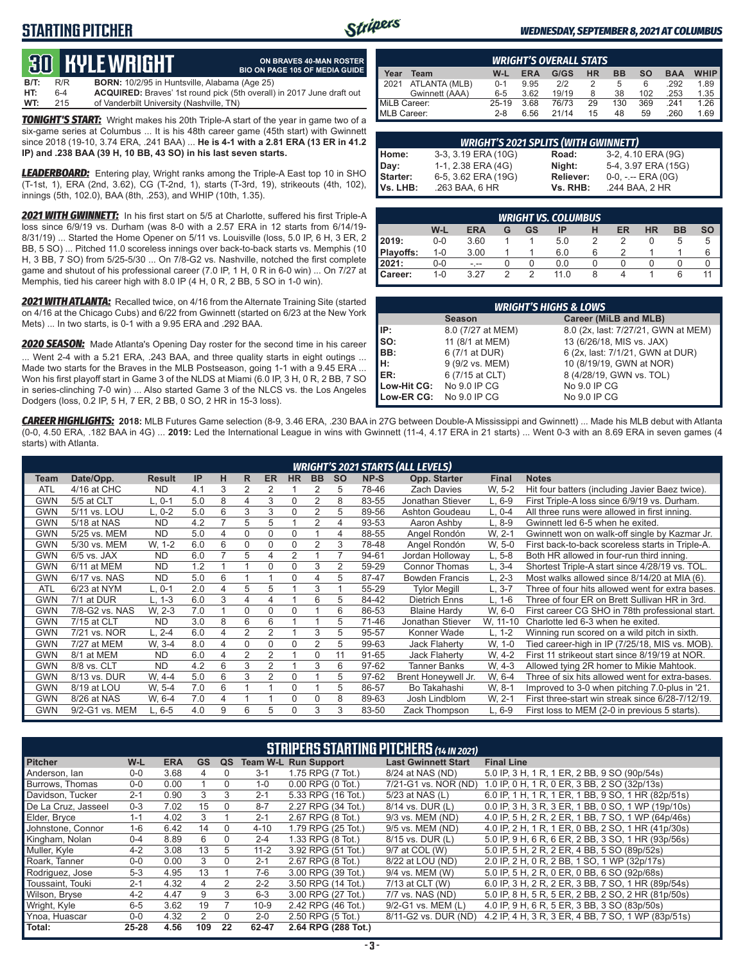## **STARTING PITCHER**



**ON BRAVES 40-MAN ROSTER**

#### *WEDNESDAY, SEPTEMBER 8, 2021 AT COLUMBUS*

# **30****KYLE WRIGHT**

|      |     | QU TILL WIRTH                                        | <b>BIO ON PAGE 105 OF MEDIA GUIDE</b>                                        |
|------|-----|------------------------------------------------------|------------------------------------------------------------------------------|
| B/T: | R/R | <b>BORN:</b> 10/2/95 in Huntsville, Alabama (Age 25) |                                                                              |
| HT:  | 6-4 |                                                      | <b>ACQUIRED:</b> Braves' 1st round pick (5th overall) in 2017 June draft out |
| WT:  | 215 | of Vanderbilt University (Nashville, TN)             |                                                                              |

*TONIGHT'S START:* Wright makes his 20th Triple-A start of the year in game two of a six-game series at Columbus ... It is his 48th career game (45th start) with Gwinnett since 2018 (19-10, 3.74 ERA, .241 BAA) ... **He is 4-1 with a 2.81 ERA (13 ER in 41.2 IP) and .238 BAA (39 H, 10 BB, 43 SO) in his last seven starts.**

*LEADERBOARD:* Entering play, Wright ranks among the Triple-A East top 10 in SHO (T-1st, 1), ERA (2nd, 3.62), CG (T-2nd, 1), starts (T-3rd, 19), strikeouts (4th, 102), innings (5th, 102.0), BAA (8th, .253), and WHIP (10th, 1.35).

*2021 WITH GWINNETT:* In his first start on 5/5 at Charlotte, suffered his first Triple-A loss since 6/9/19 vs. Durham (was 8-0 with a 2.57 ERA in 12 starts from 6/14/19- 8/31/19) ... Started the Home Opener on 5/11 vs. Louisville (loss, 5.0 IP, 6 H, 3 ER, 2 BB, 5 SO) ... Pitched 11.0 scoreless innings over back-to-back starts vs. Memphis (10 H, 3 BB, 7 SO) from 5/25-5/30 ... On 7/8-G2 vs. Nashville, notched the first complete game and shutout of his professional career (7.0 IP, 1 H, 0 R in 6-0 win) ... On 7/27 at Memphis, tied his career high with 8.0 IP (4 H, 0 R, 2 BB, 5 SO in 1-0 win).

*2021 WITH ATLANTA:* Recalled twice, on 4/16 from the Alternate Training Site (started on 4/16 at the Chicago Cubs) and 6/22 from Gwinnett (started on 6/23 at the New York Mets) ... In two starts, is 0-1 with a 9.95 ERA and .292 BAA.

*2020 SEASON:* Made Atlanta's Opening Day roster for the second time in his career ... Went 2-4 with a 5.21 ERA, .243 BAA, and three quality starts in eight outings ... Made two starts for the Braves in the MLB Postseason, going 1-1 with a 9.45 ERA ... Won his first playoff start in Game 3 of the NLDS at Miami (6.0 IP, 3 H, 0 R, 2 BB, 7 SO in series-clinching 7-0 win) ... Also started Game 3 of the NLCS vs. the Los Angeles Dodgers (loss, 0.2 IP, 5 H, 7 ER, 2 BB, 0 SO, 2 HR in 15-3 loss).

|              | <b>WRIGHT'S OVERALL STATS</b> |         |            |       |           |           |           |            |             |  |  |  |  |
|--------------|-------------------------------|---------|------------|-------|-----------|-----------|-----------|------------|-------------|--|--|--|--|
| Year         | Team                          | W-L     | <b>ERA</b> | G/GS  | <b>HR</b> | <b>BB</b> | <b>SO</b> | <b>BAA</b> | <b>WHIP</b> |  |  |  |  |
| 12021        | ATLANTA (MLB)                 | $0 - 1$ | 9.95       | 212   |           | 5         | 6         | .292       | 1.89        |  |  |  |  |
|              | Gwinnett (AAA)                | $6 - 5$ | 3.62       | 19/19 | 8         | 38        | 102       | .253       | 1.35        |  |  |  |  |
| MiLB Career: |                               | 25-19   | 3.68       | 76/73 | 29        | 130       | 369       | 241        | 1.26        |  |  |  |  |
| MLB Career:  |                               | $2 - 8$ | 6.56       | 21/14 | 15        | 48        | 59        | .260       | 1.69        |  |  |  |  |

|                 | <b>WRIGHT'S 2021 SPLITS (WITH GWINNETT)</b> |           |                       |
|-----------------|---------------------------------------------|-----------|-----------------------|
| Home:           | 3-3, 3.19 ERA (10G)                         | Road:     | 3-2, 4.10 ERA (9G)    |
| Day:            | 1-1, 2.38 ERA (4G)                          | Night:    | 5-4, 3.97 ERA (15G)   |
| <b>Starter:</b> | 6-5, 3.62 ERA (19G)                         | Reliever: | $0-0, - -$ ERA $(0G)$ |
| Vs. LHB:        | .263 BAA, 6 HR                              | Vs. RHB:  | .244 BAA, 2 HR        |

|                | <b>WRIGHT VS. COLUMBUS</b>                                                    |      |        |   |      |   |  |  |   |   |  |  |  |  |  |
|----------------|-------------------------------------------------------------------------------|------|--------|---|------|---|--|--|---|---|--|--|--|--|--|
|                | W-L<br><b>BB</b><br>ER<br><b>HR</b><br><b>ERA</b><br>GS<br>SO<br>IP<br>н<br>G |      |        |   |      |   |  |  |   |   |  |  |  |  |  |
| 2019:          | $0 - 0$                                                                       | 3.60 |        |   | 5.0  |   |  |  | b | b |  |  |  |  |  |
| Playoffs:      | $1 - 0$                                                                       | 3.00 |        |   | 6.0  | 6 |  |  |   | 6 |  |  |  |  |  |
| 2021:          | 0-0                                                                           | - -- |        |   | 0.0  |   |  |  |   |   |  |  |  |  |  |
| <b>Career:</b> | $1 - 0$                                                                       | 3.27 | $\sim$ | っ | 11 N | 8 |  |  | 6 |   |  |  |  |  |  |

| <b>WRIGHT'S HIGHS &amp; LOWS</b>              |                   |                                     |  |  |  |  |  |  |  |  |
|-----------------------------------------------|-------------------|-------------------------------------|--|--|--|--|--|--|--|--|
| <b>Career (MiLB and MLB)</b><br><b>Season</b> |                   |                                     |  |  |  |  |  |  |  |  |
| IIP:                                          | 8.0 (7/27 at MEM) | 8.0 (2x, last: 7/27/21, GWN at MEM) |  |  |  |  |  |  |  |  |
| $\mathsf{Iso}:$                               | 11 (8/1 at MEM)   | 13 (6/26/18, MIS vs. JAX)           |  |  |  |  |  |  |  |  |
| BB:                                           | 6 (7/1 at DUR)    | 6 (2x, last: 7/1/21, GWN at DUR)    |  |  |  |  |  |  |  |  |
| Iн:                                           | 9 (9/2 vs. MEM)   | 10 (8/19/19, GWN at NOR)            |  |  |  |  |  |  |  |  |
| <b>IER:</b>                                   | 6 (7/15 at CLT)   | 8 (4/28/19, GWN vs. TOL)            |  |  |  |  |  |  |  |  |
| Low-Hit CG:                                   | No 9.0 IP CG      | No 9.0 IP CG                        |  |  |  |  |  |  |  |  |
| Low-ER CG:                                    | No 9.0 IP CG      | No 9.0 IP CG                        |  |  |  |  |  |  |  |  |

*CAREER HIGHLIGHTS:* **2018:** MLB Futures Game selection (8-9, 3.46 ERA, .230 BAA in 27G between Double-A Mississippi and Gwinnett) ... Made his MLB debut with Atlanta (0-0, 4.50 ERA, .182 BAA in 4G) ... **2019:** Led the International League in wins with Gwinnett (11-4, 4.17 ERA in 21 starts) ... Went 0-3 with an 8.69 ERA in seven games (4 starts) with Atlanta.

|            | <b>WRIGHT'S 2021 STARTS (ALL LEVELS)</b> |               |     |   |   |                |                |                |           |       |                       |              |                                                  |
|------------|------------------------------------------|---------------|-----|---|---|----------------|----------------|----------------|-----------|-------|-----------------------|--------------|--------------------------------------------------|
| Team       | Date/Opp.                                | <b>Result</b> | IP  | н | R | <b>ER</b>      | <b>HR</b>      | <b>BB</b>      | <b>SO</b> | NP-S  | Opp. Starter          | <b>Final</b> | <b>Notes</b>                                     |
| <b>ATL</b> | 4/16 at CHC                              | <b>ND</b>     | 4.1 | 3 | 2 | 2              |                |                | 5         | 78-46 | <b>Zach Davies</b>    | W. 5-2       | Hit four batters (including Javier Baez twice).  |
| <b>GWN</b> | 5/5 at CLT                               | L. 0-1        | 5.0 | 8 | 4 | 3              | $\Omega$       | $\overline{2}$ | 8         | 83-55 | Jonathan Stiever      | $L, 6-9$     | First Triple-A loss since 6/9/19 vs. Durham.     |
| <b>GWN</b> | 5/11 vs. LOU                             | L. 0-2        | 5.0 | 6 | 3 | 3              | 0              | $\overline{2}$ | 5         | 89-56 | Ashton Goudeau        | L, 0-4       | All three runs were allowed in first inning.     |
| GWN        | 5/18 at NAS                              | <b>ND</b>     | 4.2 |   | 5 | 5              |                |                | 4         | 93-53 | Aaron Ashby           | $L, 8-9$     | Gwinnett led 6-5 when he exited.                 |
| <b>GWN</b> | 5/25 vs. MEM                             | <b>ND</b>     | 5.0 | 4 | 0 | 0              | $\Omega$       |                | 4         | 88-55 | Angel Rondón          | W. 2-1       | Gwinnett won on walk-off single by Kazmar Jr.    |
| <b>GWN</b> | 5/30 vs. MEM                             | W. 1-2        | 6.0 | 6 | 0 | 0              | 0              | 2              | 3         | 78-48 | Angel Rondón          | W, 5-0       | First back-to-back scoreless starts in Triple-A. |
| <b>GWN</b> | $6/5$ vs. JAX                            | <b>ND</b>     | 6.0 | 7 | 5 | 4              | $\overline{2}$ |                |           | 94-61 | Jordan Holloway       | $L, 5-8$     | Both HR allowed in four-run third inning.        |
| <b>GWN</b> | 6/11 at MEM                              | <b>ND</b>     | 1.2 |   |   | $\Omega$       | $\Omega$       | 3              | 2         | 59-29 | <b>Connor Thomas</b>  | $L, 3-4$     | Shortest Triple-A start since 4/28/19 vs. TOL.   |
| <b>GWN</b> | 6/17 vs. NAS                             | <b>ND</b>     | 5.0 | 6 |   |                | $\Omega$       | 4              | 5         | 87-47 | <b>Bowden Francis</b> | L, 2-3       | Most walks allowed since 8/14/20 at MIA (6).     |
| <b>ATL</b> | 6/23 at NYM                              | L. 0-1        | 2.0 | 4 | 5 | 5              |                | 3              |           | 55-29 | <b>Tylor Megill</b>   | $L, 3-7$     | Three of four hits allowed went for extra bases. |
| <b>GWN</b> | 7/1 at DUR                               | L. 1-3        | 6.0 | 3 | 4 | 4              |                | 6              | 5         | 84-42 | <b>Dietrich Enns</b>  | $L. 1-6$     | Three of four ER on Brett Sullivan HR in 3rd.    |
| <b>GWN</b> | 7/8-G2 vs. NAS                           | W. 2-3        | 7.0 |   | 0 | $\Omega$       | $\Omega$       |                | 6         | 86-53 | <b>Blaine Hardy</b>   | W, 6-0       | First career CG SHO in 78th professional start.  |
| <b>GWN</b> | 7/15 at CLT                              | <b>ND</b>     | 3.0 | 8 | 6 | 6              |                |                | 5         | 71-46 | Jonathan Stiever      | W, 11-10     | Charlotte led 6-3 when he exited.                |
| <b>GWN</b> | 7/21 vs. NOR                             | L. 2-4        | 6.0 | 4 | 2 | 2              |                | 3              | 5         | 95-57 | Konner Wade           | L. 1-2       | Winning run scored on a wild pitch in sixth.     |
| <b>GWN</b> | 7/27 at MEM                              | W. 3-4        | 8.0 | 4 | 0 | U              | $\Omega$       | $\overline{2}$ | 5         | 99-63 | Jack Flaherty         | W, 1-0       | Tied career-high in IP (7/25/18, MIS vs. MOB).   |
| <b>GWN</b> | 8/1 at MEM                               | <b>ND</b>     | 6.0 | 4 | 2 | $\overline{2}$ |                | 0              | 11        | 91-65 | Jack Flaherty         | W. 4-2       | First 11 strikeout start since 8/19/19 at NOR.   |
| GWN        | 8/8 vs. CLT                              | <b>ND</b>     | 4.2 | 6 | 3 | $\overline{2}$ |                | 3              | 6         | 97-62 | <b>Tanner Banks</b>   | W. 4-3       | Allowed tying 2R homer to Mikie Mahtook.         |
| <b>GWN</b> | 8/13 vs. DUR                             | W. 4-4        | 5.0 | 6 | 3 | 2              | $\mathbf 0$    |                | 5         | 97-62 | Brent Honeywell Jr.   | W, 6-4       | Three of six hits allowed went for extra-bases.  |
| <b>GWN</b> | 8/19 at LOU                              | W. 5-4        | 7.0 | 6 |   |                | $\Omega$       |                | 5         | 86-57 | Bo Takahashi          | W. 8-1       | Improved to 3-0 when pitching 7.0-plus in '21.   |
| <b>GWN</b> | 8/26 at NAS                              | W. 6-4        | 7.0 | 4 |   |                | 0              | $\Omega$       | 8         | 89-63 | Josh Lindblom         | W. 2-1       | First three-start win streak since 6/28-7/12/19. |
| <b>GWN</b> | 9/2-G1 vs. MEM                           | $L, 6-5$      | 4.0 | 9 | 6 | 5              | $\Omega$       | 3              | 3         | 83-50 | Zack Thompson         | $L.6-9$      | First loss to MEM (2-0 in previous 5 starts).    |

| <b>STRIPERS STARTING PITCHERS (14 IN 2021)</b> |           |            |                |                |          |                             |                            |                                                    |  |  |  |
|------------------------------------------------|-----------|------------|----------------|----------------|----------|-----------------------------|----------------------------|----------------------------------------------------|--|--|--|
| <b>Pitcher</b>                                 | W-L       | <b>ERA</b> | <b>GS</b>      | QS             |          | <b>Team W-L Run Support</b> | <b>Last Gwinnett Start</b> | <b>Final Line</b>                                  |  |  |  |
| Anderson, lan                                  | $0-0$     | 3.68       | 4              | $\Omega$       | $3 - 1$  | 1.75 RPG (7 Tot.)           | 8/24 at NAS (ND)           | 5.0 IP, 3 H, 1 R, 1 ER, 2 BB, 9 SO (90p/54s)       |  |  |  |
| Burrows, Thomas                                | $0-0$     | 0.00       |                | $\Omega$       | $1 - 0$  | $0.00$ RPG $(0$ Tot.)       | 7/21-G1 vs. NOR (ND)       | 1.0 IP, 0 H, 1 R, 0 ER, 3 BB, 2 SO (32p/13s)       |  |  |  |
| Davidson, Tucker                               | $2 - 1$   | 0.90       | 3              | 3              | $2 - 1$  | 5.33 RPG (16 Tot.)          | 5/23 at NAS (L)            | 6.0 IP, 1 H, 1 R, 1 ER, 1 BB, 9 SO, 1 HR (82p/51s) |  |  |  |
| De La Cruz, Jasseel                            | $0 - 3$   | 7.02       | 15             | $\Omega$       | $8 - 7$  | 2.27 RPG (34 Tot.)          | 8/14 vs. DUR (L)           | 0.0 IP, 3 H, 3 R, 3 ER, 1 BB, 0 SO, 1 WP (19p/10s) |  |  |  |
| Elder, Bryce                                   | $1 - 1$   | 4.02       | 3              |                | $2 - 1$  | 2.67 RPG (8 Tot.)           | 9/3 vs. MEM (ND)           | 4.0 IP, 5 H, 2 R, 2 ER, 1 BB, 7 SO, 1 WP (64p/46s) |  |  |  |
| Johnstone, Connor                              | $1 - 6$   | 6.42       | 14             | $\Omega$       | $4 - 10$ | 1.79 RPG (25 Tot.)          | 9/5 vs. MEM (ND)           | 4.0 IP, 2 H, 1 R, 1 ER, 0 BB, 2 SO, 1 HR (41p/30s) |  |  |  |
| Kingham, Nolan                                 | $0 - 4$   | 8.89       | 6              | $\Omega$       | $2 - 4$  | 1.33 RPG (8 Tot.)           | 8/15 vs. DUR (L)           | 5.0 IP, 9 H, 6 R, 6 ER, 2 BB, 3 SO, 1 HR (93p/56s) |  |  |  |
| Muller, Kyle                                   | $4 - 2$   | 3.08       | 13             | 5.             | $11 - 2$ | 3.92 RPG (51 Tot.)          | 9/7 at COL (W)             | 5.0 IP, 5 H, 2 R, 2 ER, 4 BB, 5 SO (89p/52s)       |  |  |  |
| Roark, Tanner                                  | $0-0$     | 0.00       | 3              | $\Omega$       | $2 - 1$  | 2.67 RPG (8 Tot.)           | 8/22 at LOU (ND)           | 2.0 IP, 2 H, 0 R, 2 BB, 1 SO, 1 WP (32p/17s)       |  |  |  |
| Rodriguez, Jose                                | $5-3$     | 4.95       | 13             |                | $7-6$    | 3.00 RPG (39 Tot.)          | 9/4 vs. MEM (W)            | 5.0 IP, 5 H, 2 R, 0 ER, 0 BB, 6 SO (92p/68s)       |  |  |  |
| Toussaint. Touki                               | $2 - 1$   | 4.32       | 4              | $\overline{2}$ | $2 - 2$  | 3.50 RPG (14 Tot.)          | 7/13 at CLT (W)            | 6.0 IP, 3 H, 2 R, 2 ER, 3 BB, 7 SO, 1 HR (89p/54s) |  |  |  |
| Wilson, Bryse                                  | $4 - 2$   | 4.47       | 9              | 3              | $6 - 3$  | 3.00 RPG (27 Tot.)          | 7/7 vs. NAS (ND)           | 5.0 IP, 8 H, 5 R, 5 ER, 2 BB, 2 SO, 2 HR (81p/50s) |  |  |  |
| Wright, Kyle                                   | $6-5$     | 3.62       | 19             |                | $10-9$   | 2.42 RPG (46 Tot.)          | 9/2-G1 vs. MEM (L)         | 4.0 IP, 9 H, 6 R, 5 ER, 3 BB, 3 SO (83p/50s)       |  |  |  |
| Ynoa, Huascar                                  | $0-0$     | 4.32       | $\overline{2}$ | $\Omega$       | $2 - 0$  | 2.50 RPG (5 Tot.)           | 8/11-G2 vs. DUR (ND)       | 4.2 IP, 4 H, 3 R, 3 ER, 4 BB, 7 SO, 1 WP (83p/51s) |  |  |  |
| Total:                                         | $25 - 28$ | 4.56       | 109            | 22             | 62-47    | 2.64 RPG (288 Tot.)         |                            |                                                    |  |  |  |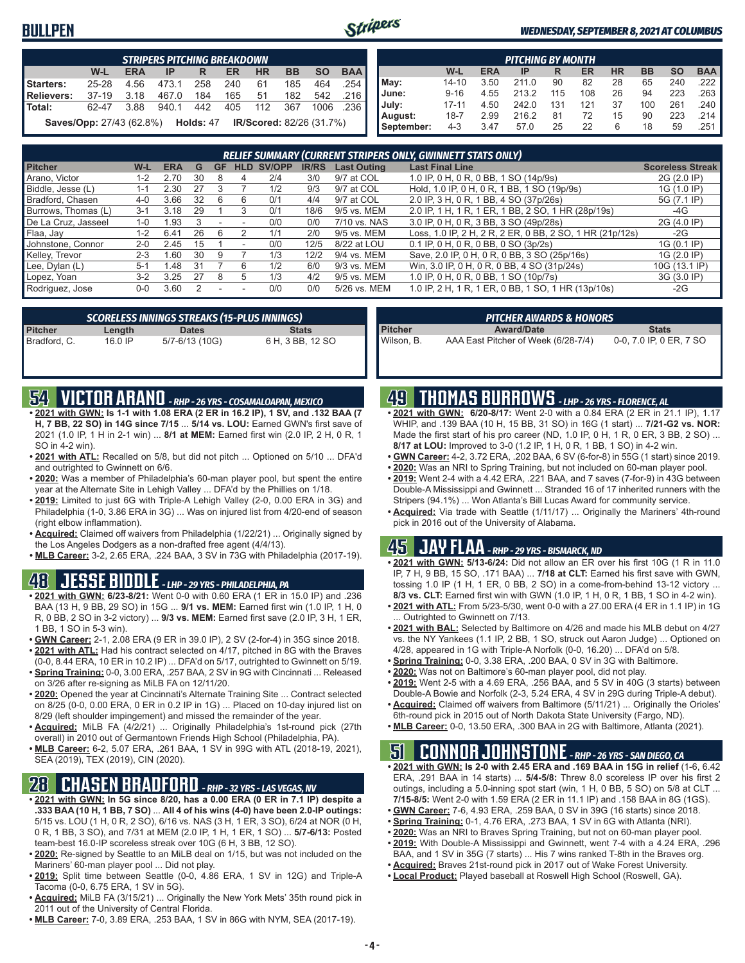### **BULLPEN**



#### *WEDNESDAY, SEPTEMBER 8, 2021 AT COLUMBUS*

|                                                                                         | <b>STRIPERS PITCHING BREAKDOWN</b>                                               |      |       |     |     |     |     |      |       |  |  |  |  |
|-----------------------------------------------------------------------------------------|----------------------------------------------------------------------------------|------|-------|-----|-----|-----|-----|------|-------|--|--|--|--|
| <b>BAA</b><br>W-L<br><b>HR</b><br><b>SO</b><br><b>ERA</b><br><b>BB</b><br>ER<br>IP<br>R |                                                                                  |      |       |     |     |     |     |      |       |  |  |  |  |
| Starters:                                                                               | $25 - 28$                                                                        | 4.56 | 473.1 | 258 | 240 | 61  | 185 | 464  | .254  |  |  |  |  |
| Relievers:                                                                              | $37-19$                                                                          | 3.18 | 467.0 | 184 | 165 | 51  | 182 | 542  | .216  |  |  |  |  |
| <b>Total:</b>                                                                           | 62-47                                                                            | 3.88 | 940.1 | 442 | 405 | 112 | 367 | 1006 | - 236 |  |  |  |  |
|                                                                                         | <b>Saves/Opp:</b> 27/43 (62.8%) <b>Holds:</b> 47 <b>IR/Scored:</b> 82/26 (31.7%) |      |       |     |     |     |     |      |       |  |  |  |  |

|            | <b>PITCHING BY MONTH</b>                                                                |      |       |     |     |    |     |     |      |  |  |  |  |
|------------|-----------------------------------------------------------------------------------------|------|-------|-----|-----|----|-----|-----|------|--|--|--|--|
|            | <b>BAA</b><br><b>SO</b><br>W-L<br><b>HR</b><br><b>BB</b><br><b>ERA</b><br>ER<br>IP<br>R |      |       |     |     |    |     |     |      |  |  |  |  |
| May:       | $14 - 10$                                                                               | 3.50 | 211.0 | 90  | 82  | 28 | 65  | 240 | .222 |  |  |  |  |
| June:      | $9 - 16$                                                                                | 4.55 | 213.2 | 115 | 108 | 26 | 94  | 223 | .263 |  |  |  |  |
| July:      | $17 - 11$                                                                               | 4.50 | 242.0 | 131 | 121 | 37 | 100 | 261 | .240 |  |  |  |  |
| August:    | $18 - 7$                                                                                | 2.99 | 216.2 | 81  | 72  | 15 | 90  | 223 | .214 |  |  |  |  |
| September: | $4 - 3$                                                                                 | 3.47 | 57.0  | 25  | 22  | 6  | 18  | 59  | .251 |  |  |  |  |

|                     | <b>RELIEF SUMMARY (CURRENT STRIPERS ONLY, GWINNETT STATS ONLY)</b> |            |    |    |                          |        |              |                    |                                                          |                         |  |  |
|---------------------|--------------------------------------------------------------------|------------|----|----|--------------------------|--------|--------------|--------------------|----------------------------------------------------------|-------------------------|--|--|
| <b>Pitcher</b>      | W-L                                                                | <b>ERA</b> | G  | GF | <b>HLD</b>               | SV/OPP | <b>IR/RS</b> | <b>Last Outing</b> | <b>Last Final Line</b>                                   | <b>Scoreless Streak</b> |  |  |
| Arano, Victor       | $1 - 2$                                                            | 2.70       | 30 |    | 4                        | 2/4    | 3/0          | 9/7 at COL         | 1.0 IP, 0 H, 0 R, 0 BB, 1 SO (14p/9s)                    | 2G (2.0 IP)             |  |  |
| Biddle, Jesse (L)   | 1-1                                                                | 2.30       |    |    |                          | 1/2    | 9/3          | 9/7 at COL         | Hold, 1.0 IP, 0 H, 0 R, 1 BB, 1 SO (19p/9s)              | 1G (1.0 IP)             |  |  |
| Bradford, Chasen    | 4-0                                                                | 3.66       | 32 |    |                          | 0/1    | 4/4          | 9/7 at COL         | 2.0 IP, 3 H, 0 R, 1 BB, 4 SO (37p/26s)                   | 5G (7.1 IP)             |  |  |
| Burrows, Thomas (L) | $3 - 1$                                                            | 3.18       | 29 |    |                          | 0/1    | 18/6         | 9/5 vs. MEM        | 2.0 IP, 1 H, 1 R, 1 ER, 1 BB, 2 SO, 1 HR (28p/19s)       | -4G                     |  |  |
| De La Cruz, Jasseel | $1 - 0$                                                            | l .93      |    |    | $\overline{\phantom{a}}$ | 0/0    | 0/0          | 7/10 vs. NAS       | 3.0 IP, 0 H, 0 R, 3 BB, 3 SO (49p/28s)                   | 2G (4.0 IP)             |  |  |
| Flaa, Jay           | $1 - 2$                                                            | 6.41       | 26 |    |                          | 1/1    | 2/0          | 9/5 vs. MEM        | Loss, 1.0 IP, 2 H, 2 R, 2 ER, 0 BB, 2 SO, 1 HR (21p/12s) | $-2G$                   |  |  |
| Johnstone, Connor   | $2 - 0$                                                            | 2.45       | 15 |    |                          | 0/0    | 12/5         | 8/22 at LOU        | 0.1 IP, 0 H, 0 R, 0 BB, 0 SO (3p/2s)                     | 1G (0.1 IP)             |  |  |
| Kellev. Trevor      | $2 - 3$                                                            | .60        | 30 | 9  |                          | 1/3    | 12/2         | 9/4 vs. MEM        | Save, 2.0 IP, 0 H, 0 R, 0 BB, 3 SO (25p/16s)             | 1G (2.0 IP)             |  |  |
| Lee, Dylan (L)      | $5-1$                                                              | .48        | 31 |    | 6                        | 1/2    | 6/0          | 9/3 vs. MEM        | Win, 3.0 IP, 0 H, 0 R, 0 BB, 4 SO (31p/24s)              | 10G (13.1 IP)           |  |  |
| Lopez, Yoan         | $3-2$                                                              | 3.25       | 27 | 8  |                          | 1/3    | 4/2          | 9/5 vs. MEM        | 1.0 IP, 0 H, 0 R, 0 BB, 1 SO (10p/7s)                    | 3G (3.0 IP)             |  |  |
| Rodriguez, Jose     | 0-0                                                                | 3.60       |    |    |                          | 0/0    | 0/0          | 5/26 vs. MEM       | 1.0 IP, 2 H, 1 R, 1 ER, 0 BB, 1 SO, 1 HR (13p/10s)       | $-2G$                   |  |  |

|              |           | <b>SCORELESS INNINGS STREAKS (15-PLUS INNINGS)</b> |                  |
|--------------|-----------|----------------------------------------------------|------------------|
| Pitcher      | Length    | <b>Dates</b>                                       | <b>Stats</b>     |
| Bradford, C. | $16.0$ IP | 5/7-6/13 (10G)                                     | 6 H, 3 BB, 12 SO |

|            | <b>PITCHER AWARDS &amp; HONORS</b>  |                         |
|------------|-------------------------------------|-------------------------|
| Pitcher    | <b>Award/Date</b>                   | <b>Stats</b>            |
| Wilson, B. | AAA East Pitcher of Week (6/28-7/4) | 0-0, 7.0 IP, 0 ER, 7 SO |

### **54 VICTOR ARANO** *- RHP - 26 YRS - COSAMALOAPAN, MEXICO*

- **• 2021 with GWN: Is 1-1 with 1.08 ERA (2 ER in 16.2 IP), 1 SV, and .132 BAA (7 H, 7 BB, 22 SO) in 14G since 7/15** ... **5/14 vs. LOU:** Earned GWN's first save of 2021 (1.0 IP, 1 H in 2-1 win) ... **8/1 at MEM:** Earned first win (2.0 IP, 2 H, 0 R, 1 SO in 4-2 win).
- **• 2021 with ATL:** Recalled on 5/8, but did not pitch ... Optioned on 5/10 ... DFA'd and outrighted to Gwinnett on 6/6.
- **• 2020:** Was a member of Philadelphia's 60-man player pool, but spent the entire year at the Alternate Site in Lehigh Valley ... DFA'd by the Phillies on 1/18.
- **• 2019:** Limited to just 6G with Triple-A Lehigh Valley (2-0, 0.00 ERA in 3G) and Philadelphia (1-0, 3.86 ERA in 3G) ... Was on injured list from 4/20-end of season (right elbow inflammation).
- **• Acquired:** Claimed off waivers from Philadelphia (1/22/21) ... Originally signed by the Los Angeles Dodgers as a non-drafted free agent (4/4/13).
- **• MLB Career:** 3-2, 2.65 ERA, .224 BAA, 3 SV in 73G with Philadelphia (2017-19).

### **48 JESSE BIDDLE** *- LHP - 29 YRS - PHILADELPHIA, PA*

- **• 2021 with GWN: 6/23-8/21:** Went 0-0 with 0.60 ERA (1 ER in 15.0 IP) and .236 BAA (13 H, 9 BB, 29 SO) in 15G ... **9/1 vs. MEM:** Earned first win (1.0 IP, 1 H, 0 R, 0 BB, 2 SO in 3-2 victory) ... **9/3 vs. MEM:** Earned first save (2.0 IP, 3 H, 1 ER, 1 BB, 1 SO in 5-3 win).
- **• GWN Career:** 2-1, 2.08 ERA (9 ER in 39.0 IP), 2 SV (2-for-4) in 35G since 2018. **• 2021 with ATL:** Had his contract selected on 4/17, pitched in 8G with the Braves
- (0-0, 8.44 ERA, 10 ER in 10.2 IP) ... DFA'd on 5/17, outrighted to Gwinnett on 5/19. **• Spring Training:** 0-0, 3.00 ERA, .257 BAA, 2 SV in 9G with Cincinnati ... Released on 3/26 after re-signing as MiLB FA on 12/11/20.
- **• 2020:** Opened the year at Cincinnati's Alternate Training Site ... Contract selected on 8/25 (0-0, 0.00 ERA, 0 ER in 0.2 IP in 1G) ... Placed on 10-day injured list on 8/29 (left shoulder impingement) and missed the remainder of the year.
- **• Acquired:** MiLB FA (4/2/21) ... Originally Philadelphia's 1st-round pick (27th overall) in 2010 out of Germantown Friends High School (Philadelphia, PA).
- **• MLB Career:** 6-2, 5.07 ERA, .261 BAA, 1 SV in 99G with ATL (2018-19, 2021), SEA (2019), TEX (2019), CIN (2020).

### **28 CHASEN BRADFORD** *- RHP - 32 YRS - LAS VEGAS, NV*

- **• 2021 with GWN: In 5G since 8/20, has a 0.00 ERA (0 ER in 7.1 IP) despite a .333 BAA (10 H, 1 BB, 7 SO)** ... **All 4 of his wins (4-0) have been 2.0-IP outings:** 5/15 vs. LOU (1 H, 0 R, 2 SO), 6/16 vs. NAS (3 H, 1 ER, 3 SO), 6/24 at NOR (0 H, 0 R, 1 BB, 3 SO), and 7/31 at MEM (2.0 IP, 1 H, 1 ER, 1 SO) ... **5/7-6/13:** Posted team-best 16.0-IP scoreless streak over 10G (6 H, 3 BB, 12 SO).
- **• 2020:** Re-signed by Seattle to an MiLB deal on 1/15, but was not included on the Mariners' 60-man player pool ... Did not play.
- **• 2019:** Split time between Seattle (0-0, 4.86 ERA, 1 SV in 12G) and Triple-A Tacoma (0-0, 6.75 ERA, 1 SV in 5G).
- **• Acquired:** MiLB FA (3/15/21) ... Originally the New York Mets' 35th round pick in 2011 out of the University of Central Florida.
- **• MLB Career:** 7-0, 3.89 ERA, .253 BAA, 1 SV in 86G with NYM, SEA (2017-19).

## **49 THOMAS BURROWS** *- LHP - 26 YRS - FLORENCE, AL*

- **• 2021 with GWN: 6/20-8/17:** Went 2-0 with a 0.84 ERA (2 ER in 21.1 IP), 1.17 WHIP, and .139 BAA (10 H, 15 BB, 31 SO) in 16G (1 start) ... **7/21-G2 vs. NOR:** Made the first start of his pro career (ND, 1.0 IP, 0 H, 1 R, 0 ER, 3 BB, 2 SO) ... **8/17 at LOU:** Improved to 3-0 (1.2 IP, 1 H, 0 R, 1 BB, 1 SO) in 4-2 win.
- **• GWN Career:** 4-2, 3.72 ERA, .202 BAA, 6 SV (6-for-8) in 55G (1 start) since 2019.
- **• 2020:** Was an NRI to Spring Training, but not included on 60-man player pool.
- **• 2019:** Went 2-4 with a 4.42 ERA, .221 BAA, and 7 saves (7-for-9) in 43G between Double-A Mississippi and Gwinnett ... Stranded 16 of 17 inherited runners with the Stripers (94.1%) ... Won Atlanta's Bill Lucas Award for community service.
- **• Acquired:** Via trade with Seattle (1/11/17) ... Originally the Mariners' 4th-round pick in 2016 out of the University of Alabama.

## **45 JAY FLAA** *- RHP - 29 YRS - BISMARCK, ND*

- **• 2021 with GWN: 5/13-6/24:** Did not allow an ER over his first 10G (1 R in 11.0 IP, 7 H, 9 BB, 15 SO, .171 BAA) ... **7/18 at CLT:** Earned his first save with GWN, tossing 1.0 IP (1 H, 1 ER, 0 BB, 2 SO) in a come-from-behind 13-12 victory ... **8/3 vs. CLT:** Earned first win with GWN (1.0 IP, 1 H, 0 R, 1 BB, 1 SO in 4-2 win).
- **• 2021 with ATL:** From 5/23-5/30, went 0-0 with a 27.00 ERA (4 ER in 1.1 IP) in 1G ... Outrighted to Gwinnett on 7/13.
- **• 2021 with BAL:** Selected by Baltimore on 4/26 and made his MLB debut on 4/27 vs. the NY Yankees (1.1 IP, 2 BB, 1 SO, struck out Aaron Judge) ... Optioned on 4/28, appeared in 1G with Triple-A Norfolk (0-0, 16.20) ... DFA'd on 5/8.
- **• Spring Training:** 0-0, 3.38 ERA, .200 BAA, 0 SV in 3G with Baltimore.
- **• 2020:** Was not on Baltimore's 60-man player pool, did not play.
- **• 2019:** Went 2-5 with a 4.69 ERA, .256 BAA, and 5 SV in 40G (3 starts) between Double-A Bowie and Norfolk (2-3, 5.24 ERA, 4 SV in 29G during Triple-A debut).
- **• Acquired:** Claimed off waivers from Baltimore (5/11/21) ... Originally the Orioles' 6th-round pick in 2015 out of North Dakota State University (Fargo, ND).
- **• MLB Career:** 0-0, 13.50 ERA, .300 BAA in 2G with Baltimore, Atlanta (2021).

### **51 CONNOR JOHNSTONE** *- RHP - 26 YRS - SAN DIEGO, CA*

- **• 2021 with GWN: Is 2-0 with 2.45 ERA and .169 BAA in 15G in relief** (1-6, 6.42 ERA, .291 BAA in 14 starts) ... **5/4-5/8:** Threw 8.0 scoreless IP over his first 2 outings, including a 5.0-inning spot start (win, 1 H, 0 BB, 5 SO) on 5/8 at CLT ... **7/15-8/5:** Went 2-0 with 1.59 ERA (2 ER in 11.1 IP) and .158 BAA in 8G (1GS).
- **• GWN Career:** 7-6, 4.93 ERA, .259 BAA, 0 SV in 39G (16 starts) since 2018.
- **• Spring Training:** 0-1, 4.76 ERA, .273 BAA, 1 SV in 6G with Atlanta (NRI).
- **• 2020:** Was an NRI to Braves Spring Training, but not on 60-man player pool.
- **• 2019:** With Double-A Mississippi and Gwinnett, went 7-4 with a 4.24 ERA, .296
	- BAA, and 1 SV in 35G (7 starts) ... His 7 wins ranked T-8th in the Braves org.
- **• Acquired:** Braves 21st-round pick in 2017 out of Wake Forest University.
- **• Local Product:** Played baseball at Roswell High School (Roswell, GA).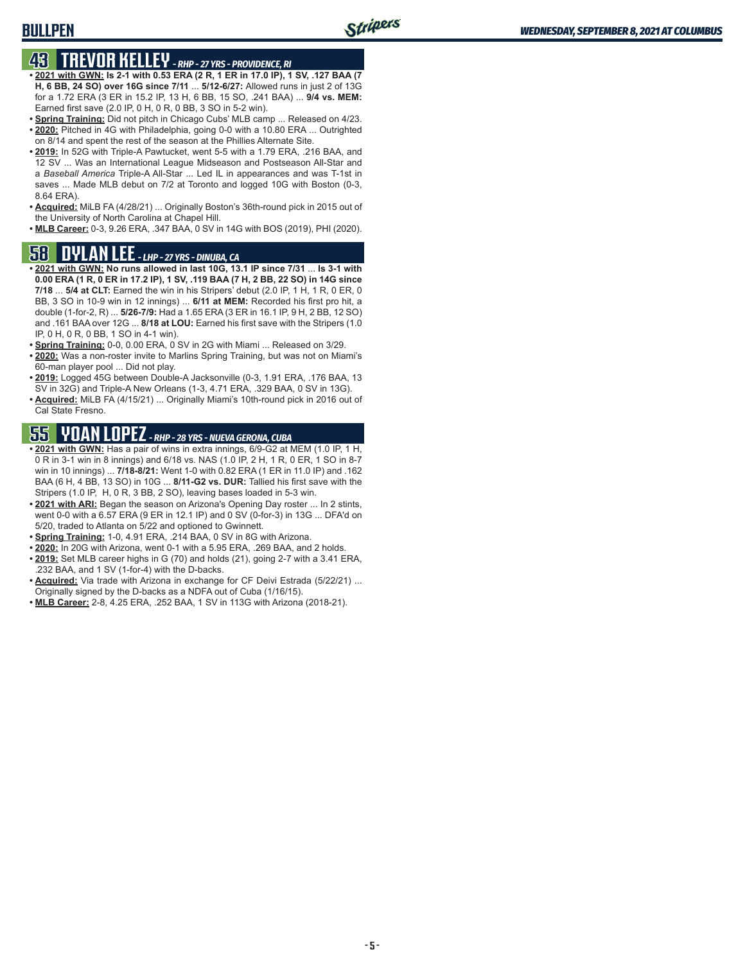### **BULLPEN**

## **43 TREVOR KELLEY** *- RHP - 27 YRS - PROVIDENCE, RI*

- **• 2021 with GWN: Is 2-1 with 0.53 ERA (2 R, 1 ER in 17.0 IP), 1 SV, .127 BAA (7 H, 6 BB, 24 SO) over 16G since 7/11** ... **5/12-6/27:** Allowed runs in just 2 of 13G for a 1.72 ERA (3 ER in 15.2 IP, 13 H, 6 BB, 15 SO, .241 BAA) ... **9/4 vs. MEM:** Earned first save (2.0 IP, 0 H, 0 R, 0 BB, 3 SO in 5-2 win).
- **• Spring Training:** Did not pitch in Chicago Cubs' MLB camp ... Released on 4/23. **• 2020:** Pitched in 4G with Philadelphia, going 0-0 with a 10.80 ERA ... Outrighted on 8/14 and spent the rest of the season at the Phillies Alternate Site.
- **• 2019:** In 52G with Triple-A Pawtucket, went 5-5 with a 1.79 ERA, .216 BAA, and 12 SV ... Was an International League Midseason and Postseason All-Star and a *Baseball America* Triple-A All-Star ... Led IL in appearances and was T-1st in saves ... Made MLB debut on 7/2 at Toronto and logged 10G with Boston (0-3, 8.64 ERA).
- **• Acquired:** MiLB FA (4/28/21) ... Originally Boston's 36th-round pick in 2015 out of the University of North Carolina at Chapel Hill.
- **• MLB Career:** 0-3, 9.26 ERA, .347 BAA, 0 SV in 14G with BOS (2019), PHI (2020).

### **58 DYLAN LEE** *- LHP - 27 YRS - DINUBA, CA*

- **• 2021 with GWN: No runs allowed in last 10G, 13.1 IP since 7/31** ... **Is 3-1 with 0.00 ERA (1 R, 0 ER in 17.2 IP), 1 SV, .119 BAA (7 H, 2 BB, 22 SO) in 14G since 7/18** ... **5/4 at CLT:** Earned the win in his Stripers' debut (2.0 IP, 1 H, 1 R, 0 ER, 0 BB, 3 SO in 10-9 win in 12 innings) ... **6/11 at MEM:** Recorded his first pro hit, a double (1-for-2, R) ... **5/26-7/9:** Had a 1.65 ERA (3 ER in 16.1 IP, 9 H, 2 BB, 12 SO) and .161 BAA over 12G ... **8/18 at LOU:** Earned his first save with the Stripers (1.0 IP, 0 H, 0 R, 0 BB, 1 SO in 4-1 win).
- **• Spring Training:** 0-0, 0.00 ERA, 0 SV in 2G with Miami ... Released on 3/29.
- **• 2020:** Was a non-roster invite to Marlins Spring Training, but was not on Miami's 60-man player pool ... Did not play.
- **• 2019:** Logged 45G between Double-A Jacksonville (0-3, 1.91 ERA, .176 BAA, 13 SV in 32G) and Triple-A New Orleans (1-3, 4.71 ERA, .329 BAA, 0 SV in 13G).
- **• Acquired:** MiLB FA (4/15/21) ... Originally Miami's 10th-round pick in 2016 out of Cal State Fresno.

# **55 YOAN LOPEZ** *- RHP - 28 YRS - NUEVA GERONA, CUBA*

- **• 2021 with GWN:** Has a pair of wins in extra innings, 6/9-G2 at MEM (1.0 IP, 1 H, 0 R in 3-1 win in 8 innings) and 6/18 vs. NAS (1.0 IP, 2 H, 1 R, 0 ER, 1 SO in 8-7 win in 10 innings) ... **7/18-8/21:** Went 1-0 with 0.82 ERA (1 ER in 11.0 IP) and .162 BAA (6 H, 4 BB, 13 SO) in 10G ... **8/11-G2 vs. DUR:** Tallied his first save with the Stripers (1.0 IP, H, 0 R, 3 BB, 2 SO), leaving bases loaded in 5-3 win.
- **• 2021 with ARI:** Began the season on Arizona's Opening Day roster ... In 2 stints, went 0-0 with a 6.57 ERA (9 ER in 12.1 IP) and 0 SV (0-for-3) in 13G ... DFA'd on 5/20, traded to Atlanta on 5/22 and optioned to Gwinnett.
- **• Spring Training:** 1-0, 4.91 ERA, .214 BAA, 0 SV in 8G with Arizona.
- **• 2020:** In 20G with Arizona, went 0-1 with a 5.95 ERA, .269 BAA, and 2 holds. **• 2019:** Set MLB career highs in G (70) and holds (21), going 2-7 with a 3.41 ERA,
- .232 BAA, and 1 SV (1-for-4) with the D-backs. **• Acquired:** Via trade with Arizona in exchange for CF Deivi Estrada (5/22/21) ... Originally signed by the D-backs as a NDFA out of Cuba (1/16/15).
- **• MLB Career:** 2-8, 4.25 ERA, .252 BAA, 1 SV in 113G with Arizona (2018-21).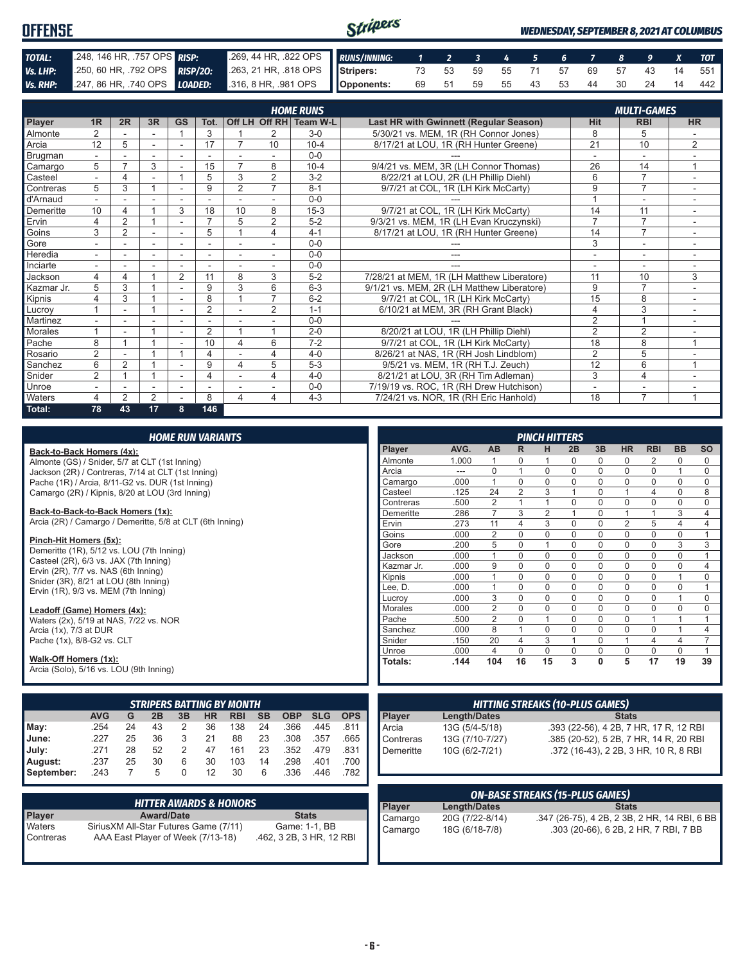| <b>OFFENSE</b> |                            |                                                                                              | Stripers |  |  |  |  |                               | <b>WEDNESDAY, SEPTEMBER 8, 2021 AT COLUMBUS</b> |
|----------------|----------------------------|----------------------------------------------------------------------------------------------|----------|--|--|--|--|-------------------------------|-------------------------------------------------|
| TOTAL:         | 248, 146 HR, 757 OPS RISP: | 269, 44 HR, 822 OPS RUNS/INNING: 1 2 3 4 5 6 7 8 9 X TOT                                     |          |  |  |  |  |                               |                                                 |
| Vs. LHP:       |                            | 250, 60 HR, 792 OPS RISP/20: 263, 21 HR, 818 OPS Stripers: 73 53 59 55 71 57 69 57 43 14 551 |          |  |  |  |  |                               |                                                 |
|                |                            | Vs. RHP: 247, 86 HR, 740 OPS LOADED: 316, 8 HR, 981 OPS Opponents:                           |          |  |  |  |  | 69 51 59 55 43 53 44 30 24 14 | 442                                             |

|                | <b>HOME RUNS</b><br><b>MULTI-GAMES</b> |                |                          |                          |                          |                          |                |                        |                                            |                |                          |                |
|----------------|----------------------------------------|----------------|--------------------------|--------------------------|--------------------------|--------------------------|----------------|------------------------|--------------------------------------------|----------------|--------------------------|----------------|
|                |                                        |                |                          |                          |                          |                          |                |                        |                                            |                |                          |                |
| Player         | 1 <sub>R</sub>                         | 2R             | 3R                       | <b>GS</b>                | Tot.                     |                          |                | Off LH Off RH Team W-L | Last HR with Gwinnett (Regular Season)     | <b>Hit</b>     | <b>RBI</b>               | <b>HR</b>      |
| <b>Almonte</b> | 2                                      |                | $\sim$                   |                          | 3                        |                          | 2              | $3-0$                  | 5/30/21 vs. MEM, 1R (RH Connor Jones)      | 8              | 5                        |                |
| <b>A</b> rcia  | 12                                     | 5              | $\sim$                   | $\overline{a}$           | 17                       |                          | 10             | $10 - 4$               | 8/17/21 at LOU, 1R (RH Hunter Greene)      | 21             | 10                       | $\overline{2}$ |
| Brugman        |                                        |                |                          |                          |                          |                          |                | $0 - 0$                |                                            |                |                          |                |
| Camargo        | 5                                      |                | 3                        |                          | 15                       |                          | 8              | $10 - 4$               | 9/4/21 vs. MEM, 3R (LH Connor Thomas)      | 26             | 14                       | $\overline{ }$ |
| Casteel        |                                        | 4              |                          |                          | 5                        | 3                        | $\overline{2}$ | $3 - 2$                | 8/22/21 at LOU. 2R (LH Phillip Diehl)      | 6              | $\overline{7}$           |                |
| Contreras      | 5                                      | 3              | $\overline{\mathbf{A}}$  |                          | 9                        | $\overline{2}$           | $\overline{7}$ | $8 - 1$                | 9/7/21 at COL, 1R (LH Kirk McCarty)        | 9              | $\overline{7}$           |                |
| d'Arnaud       | $\overline{\phantom{0}}$               |                |                          |                          | $\overline{\phantom{a}}$ |                          | $\sim$         | $0 - 0$                |                                            |                | $\overline{\phantom{a}}$ | ٠.             |
| Demeritte      | 10                                     | 4              |                          | 3                        | 18                       | 10                       | 8              | $15 - 3$               | 9/7/21 at COL, 1R (LH Kirk McCarty)        | 14             | 11                       |                |
| Ervin          | 4                                      | 2              |                          |                          | $\overline{ }$           | 5                        | 2              | $5-2$                  | 9/3/21 vs. MEM, 1R (LH Evan Kruczynski)    | $\overline{7}$ | $\overline{7}$           |                |
| Goins          | 3                                      | $\overline{2}$ |                          |                          | 5                        |                          | 4              | $4 - 1$                | 8/17/21 at LOU, 1R (RH Hunter Greene)      | 14             | $\overline{7}$           |                |
| Gore           |                                        |                | $\sim$                   |                          | $\overline{\phantom{a}}$ |                          | $\sim$         | $0 - 0$                |                                            | 3              | ۰                        |                |
| Heredia        | Ξ.                                     | ۰              |                          | $\overline{\phantom{a}}$ | $\overline{\phantom{a}}$ | $\overline{\phantom{a}}$ | $\sim$         | $0 - 0$                |                                            | ٠              | $\overline{\phantom{a}}$ |                |
| Inciarte       |                                        |                |                          |                          |                          |                          |                | $0 - 0$                |                                            | ٠              | $\overline{\phantom{a}}$ |                |
| Jackson        | 4                                      | 4              |                          | 2                        | 11                       | 8                        | 3              | $5-2$                  | 7/28/21 at MEM, 1R (LH Matthew Liberatore) | 11             | 10                       | 3              |
| Kazmar Jr.     | 5                                      | 3              |                          |                          | 9                        | 3                        | 6              | $6 - 3$                | 9/1/21 vs. MEM, 2R (LH Matthew Liberatore) | 9              | $\overline{7}$           |                |
| Kipnis         | 4                                      | 3              |                          |                          | 8                        |                          | 7              | $6 - 2$                | 9/7/21 at COL, 1R (LH Kirk McCarty)        | 15             | 8                        |                |
| Lucroy         |                                        |                |                          |                          | $\overline{2}$           |                          | 2              | $1 - 1$                | 6/10/21 at MEM, 3R (RH Grant Black)        | 4              | 3                        | $\sim$         |
| Martinez       |                                        |                |                          |                          |                          |                          |                | $0 - 0$                |                                            | 2              | $\overline{A}$           |                |
| Morales        |                                        | ٠              |                          | ٠                        | $\overline{2}$           |                          |                | $2 - 0$                | 8/20/21 at LOU, 1R (LH Phillip Diehl)      | $\overline{2}$ | $\overline{2}$           |                |
| Pache          | 8                                      |                |                          |                          | 10                       | 4                        | 6              | $7 - 2$                | 9/7/21 at COL, 1R (LH Kirk McCarty)        | 18             | 8                        | $\overline{1}$ |
| Rosario        | 2                                      |                |                          |                          | 4                        |                          | 4              | $4 - 0$                | 8/26/21 at NAS, 1R (RH Josh Lindblom)      | $\overline{2}$ | 5                        |                |
| Sanchez        | 6                                      | $\overline{2}$ |                          |                          | 9                        | 4                        | 5              | $5-3$                  | 9/5/21 vs. MEM, 1R (RH T.J. Zeuch)         | 12             | 6                        |                |
| Snider         | 2                                      |                | 4                        |                          | 4                        |                          | 4              | $4 - 0$                | 8/21/21 at LOU, 3R (RH Tim Adleman)        | 3              | $\overline{4}$           |                |
| Unroe          | $\overline{\phantom{0}}$               |                | $\overline{\phantom{a}}$ | ٠                        | ٠                        |                          | $\sim$         | $0 - 0$                | 7/19/19 vs. ROC, 1R (RH Drew Hutchison)    | ٠              | $\overline{\phantom{a}}$ |                |
| <b>Waters</b>  | 4                                      | 2              | $\overline{2}$           |                          | 8                        | 4                        | 4              | $4 - 3$                | 7/24/21 vs. NOR, 1R (RH Eric Hanhold)      | 18             | $\overline{7}$           |                |
| Total:         | 78                                     | 43             | 17                       | 8                        | 146                      |                          |                |                        |                                            |                |                          |                |

| <b>HOME RUN VARIANTS</b>                                  |                                                |                |                   |                                   |           |                                   |           |                          |                |                |                |                     |                                        |                | <b>PINCH HITTERS</b> |                |                |                |                                              |                |                |
|-----------------------------------------------------------|------------------------------------------------|----------------|-------------------|-----------------------------------|-----------|-----------------------------------|-----------|--------------------------|----------------|----------------|----------------|---------------------|----------------------------------------|----------------|----------------------|----------------|----------------|----------------|----------------------------------------------|----------------|----------------|
| Back-to-Back Homers (4x):                                 |                                                |                |                   |                                   |           |                                   |           |                          |                |                | Player         | AVG.                | AB                                     | R.             | H                    | 2B             | 3B             | <b>HR</b>      | <b>RBI</b>                                   | <b>BB</b>      | <b>SO</b>      |
|                                                           | Almonte (GS) / Snider, 5/7 at CLT (1st Inning) |                |                   |                                   |           |                                   |           |                          | Almonte        | 1.000          | $\mathbf{1}$   | $\Omega$            | $\mathbf 1$                            | 0              | 0                    | $\Omega$       | 2              | $\Omega$       | $\Omega$                                     |                |                |
| Jackson (2R) / Contreras, 7/14 at CLT (1st Inning)        |                                                |                |                   |                                   |           |                                   |           |                          |                |                | Arcia          | $\overline{a}$      | $\mathbf 0$                            | $\mathbf{1}$   | $\mathbf 0$          | $\mathbf 0$    | $\mathbf 0$    | $\mathbf 0$    | $\mathbf 0$                                  | $\mathbf{1}$   | $\mathbf 0$    |
| Pache (1R) / Arcia, 8/11-G2 vs. DUR (1st Inning)          |                                                |                |                   |                                   |           |                                   |           |                          |                |                | Camargo        | .000                | $\mathbf{1}$                           | $\mathbf 0$    | 0                    | $\mathbf 0$    | $\mathbf 0$    | $\mathbf 0$    | $\mathbf 0$                                  | 0              | 0              |
| Camargo (2R) / Kipnis, 8/20 at LOU (3rd Inning)           |                                                |                |                   |                                   |           |                                   |           |                          |                |                | Casteel        | .125                | 24                                     | 2              | 3                    | $\mathbf{1}$   | $\mathbf 0$    | $\mathbf{1}$   | $\overline{4}$                               | 0              | 8              |
|                                                           |                                                |                |                   |                                   |           |                                   |           |                          |                |                | Contreras      | .500                | $\overline{2}$                         | $\mathbf{1}$   | $\mathbf{1}$         | $\mathbf 0$    | $\mathbf 0$    | $\Omega$       | $\mathbf 0$                                  | 0              | $\mathbf 0$    |
| Back-to-Back-to-Back Homers (1x):                         |                                                |                |                   |                                   |           |                                   |           |                          |                |                | Demeritte      | .286                | $\overline{7}$                         | 3              | $\overline{2}$       | $\mathbf{1}$   | $\mathbf 0$    | $\mathbf{1}$   | $\mathbf{1}$                                 | 3              | $\overline{4}$ |
| Arcia (2R) / Camargo / Demeritte, 5/8 at CLT (6th Inning) |                                                |                |                   |                                   |           |                                   |           |                          |                |                | Ervin          | .273                | 11                                     | $\overline{4}$ | 3                    | $\mathbf 0$    | $\mathbf 0$    | $\overline{2}$ | 5                                            | $\overline{4}$ | $\overline{4}$ |
| Pinch-Hit Homers (5x):                                    |                                                |                |                   |                                   |           |                                   |           |                          |                |                | Goins          | .000                | $\overline{2}$                         | $\mathbf 0$    | $\mathbf 0$          | $\mathbf 0$    | $\mathbf 0$    | $\mathbf 0$    | $\mathbf 0$                                  | 0              | $\mathbf{1}$   |
| Demeritte (1R), 5/12 vs. LOU (7th Inning)                 |                                                |                |                   |                                   |           |                                   |           |                          |                |                | Gore           | .200                | 5                                      | $\mathbf 0$    | $\mathbf{1}$         | $\mathbf 0$    | $\mathbf 0$    | $\mathbf 0$    | $\mathbf 0$                                  | 3              | 3              |
| Casteel (2R), 6/3 vs. JAX (7th Inning)                    |                                                |                |                   |                                   |           |                                   |           |                          |                |                | Jackson        | .000                | $\mathbf{1}$                           | $\mathbf 0$    | $\mathbf 0$          | $\mathbf 0$    | $\mathbf 0$    | $\mathbf 0$    | $\mathbf 0$                                  | 0              | $\mathbf{1}$   |
| Ervin (2R), 7/7 vs. NAS (6th Inning)                      |                                                |                |                   |                                   |           |                                   |           |                          |                |                | Kazmar Jr.     | .000                | 9                                      | $\Omega$       | $\mathbf 0$          | $\mathbf 0$    | $\mathbf 0$    | $\Omega$       | $\mathbf 0$                                  | 0              | $\overline{4}$ |
| Snider (3R), 8/21 at LOU (8th Inning)                     |                                                |                |                   |                                   |           |                                   |           |                          |                |                | Kipnis         | .000                | $\mathbf{1}$                           | $\mathbf 0$    | $\mathbf 0$          | $\mathbf 0$    | $\mathbf 0$    | $\mathbf 0$    | $\mathbf 0$                                  | $\mathbf{1}$   | $\mathbf 0$    |
| Ervin (1R), 9/3 vs. MEM (7th Inning)                      |                                                |                |                   |                                   |           |                                   |           |                          |                |                | Lee. D.        | .000                | $\mathbf{1}$                           | $\Omega$       | $\mathbf 0$          | $\mathbf 0$    | $\mathbf 0$    | $\Omega$       | $\Omega$                                     | 0              | $\mathbf{1}$   |
|                                                           |                                                |                |                   |                                   |           |                                   |           |                          |                |                | Lucrov         | .000                | 3                                      | $\Omega$       | $\mathbf 0$          | $\mathbf 0$    | $\Omega$       | $\Omega$       | $\Omega$                                     | $\mathbf{1}$   | $\mathbf 0$    |
| Leadoff (Game) Homers (4x):                               |                                                |                |                   |                                   |           |                                   |           |                          |                |                | <b>Morales</b> | .000                | $\overline{2}$                         | $\mathbf 0$    | 0                    | $\mathbf 0$    | $\mathbf 0$    | $\mathbf 0$    | $\mathbf 0$                                  | 0              | $\mathbf 0$    |
| Waters (2x), 5/19 at NAS, 7/22 vs. NOR                    |                                                |                |                   |                                   |           |                                   | Pache     | .500                     | $\overline{2}$ | $\Omega$       | $\mathbf{1}$   | $\Omega$            | $\mathbf 0$                            | $\Omega$       | $\mathbf{1}$         | $\mathbf{1}$   | $\mathbf{1}$   |                |                                              |                |                |
| Arcia (1x), 7/3 at DUR                                    |                                                |                |                   |                                   |           |                                   |           |                          |                |                | Sanchez        | .000                | 8                                      | $\mathbf{1}$   | $\mathbf 0$          | $\mathbf 0$    | $\mathbf 0$    | $\mathbf 0$    | $\mathbf 0$                                  | $\mathbf{1}$   | $\overline{4}$ |
| Pache (1x), 8/8-G2 vs. CLT                                |                                                |                |                   |                                   |           |                                   | Snider    | .150                     | 20             | $\overline{4}$ | 3              | $\overline{1}$      | $\mathbf 0$                            | $\overline{1}$ | $\overline{4}$       | $\overline{4}$ | $\overline{7}$ |                |                                              |                |                |
|                                                           |                                                |                |                   |                                   |           |                                   |           |                          |                |                | Unroe          | .000                | $\overline{4}$                         | $\Omega$       | $\mathbf 0$          | $\mathbf 0$    | $\mathbf 0$    | $\mathbf 0$    | $\mathbf 0$                                  | 0              | $\mathbf{1}$   |
| Walk-Off Homers (1x):                                     |                                                |                |                   |                                   |           |                                   |           |                          |                |                | Totals:        | .144                | 104                                    | 16             | 15                   | 3              | $\mathbf{0}$   | 5              | 17                                           | 19             | 39             |
| Arcia (Solo), 5/16 vs. LOU (9th Inning)                   |                                                |                |                   |                                   |           |                                   |           |                          |                |                |                |                     |                                        |                |                      |                |                |                |                                              |                |                |
|                                                           |                                                |                |                   |                                   |           |                                   |           |                          |                |                |                |                     |                                        |                |                      |                |                |                |                                              |                |                |
|                                                           |                                                |                |                   |                                   |           | <b>STRIPERS BATTING BY MONTH</b>  |           |                          |                |                |                |                     | <b>HITTING STREAKS (10-PLUS GAMES)</b> |                |                      |                |                |                |                                              |                |                |
|                                                           | <b>AVG</b>                                     | G              | 2B                | 3B                                | <b>HR</b> | <b>RBI</b>                        | <b>SB</b> | <b>OBP</b>               | <b>SLG</b>     | <b>OPS</b>     | Player         | <b>Length/Dates</b> |                                        |                |                      |                |                | <b>Stats</b>   |                                              |                |                |
| May:                                                      | .254                                           | 24             | 43                | $\overline{2}$                    | 36        | 138                               | 24        | .366                     | .445           | .811           | Arcia          | 13G (5/4-5/18)      |                                        |                |                      |                |                |                | .393 (22-56), 4 2B, 7 HR, 17 R, 12 RBI       |                |                |
| June:                                                     | .227                                           | 25             | 36                | 3                                 | 21        | 88                                | 23        | .308                     | .357           | .665           | Contreras      | 13G (7/10-7/27)     |                                        |                |                      |                |                |                | .385 (20-52), 5 2B, 7 HR, 14 R, 20 RBI       |                |                |
| July:                                                     | .271                                           | 28             | 52                | $\overline{2}$                    | 47        | 161                               | 23        | .352                     | .479           | .831           | Demeritte      | 10G (6/2-7/21)      |                                        |                |                      |                |                |                | .372 (16-43), 2 2B, 3 HR, 10 R, 8 RBI        |                |                |
| August:                                                   | .237                                           | 25             | 30                | 6                                 | 30        | 103                               | 14        | .298                     | .401           | .700           |                |                     |                                        |                |                      |                |                |                |                                              |                |                |
| September:                                                | .243                                           | $\overline{7}$ | 5                 | $\Omega$                          | 12        | 30                                | 6         | .336                     | .446           | .782           |                |                     |                                        |                |                      |                |                |                |                                              |                |                |
|                                                           |                                                |                |                   |                                   |           |                                   |           |                          |                |                |                |                     |                                        |                |                      |                |                |                |                                              |                |                |
|                                                           |                                                |                |                   |                                   |           |                                   |           |                          |                |                |                |                     | <b>ON-BASE STREAKS (15-PLUS GAMES)</b> |                |                      |                |                |                |                                              |                |                |
|                                                           |                                                |                |                   |                                   |           | <b>HITTER AWARDS &amp; HONORS</b> |           |                          |                |                | Player         | <b>Length/Dates</b> |                                        |                |                      |                |                | <b>Stats</b>   |                                              |                |                |
| Player                                                    |                                                |                | <b>Award/Date</b> |                                   |           |                                   |           | <b>Stats</b>             |                |                | Camargo        | 20G (7/22-8/14)     |                                        |                |                      |                |                |                | .347 (26-75), 4 2B, 2 3B, 2 HR, 14 RBI, 6 BB |                |                |
| Waters                                                    | SiriusXM All-Star Futures Game (7/11)          |                |                   |                                   |           |                                   |           | Game: 1-1, BB            |                |                | Camargo        | 18G (6/18-7/8)      |                                        |                |                      |                |                |                | .303 (20-66), 6 2B, 2 HR, 7 RBI, 7 BB        |                |                |
| Contreras                                                 |                                                |                |                   | AAA East Player of Week (7/13-18) |           |                                   |           | .462, 3 2B, 3 HR, 12 RBI |                |                |                |                     |                                        |                |                      |                |                |                |                                              |                |                |
|                                                           |                                                |                |                   |                                   |           |                                   |           |                          |                |                |                |                     |                                        |                |                      |                |                |                |                                              |                |                |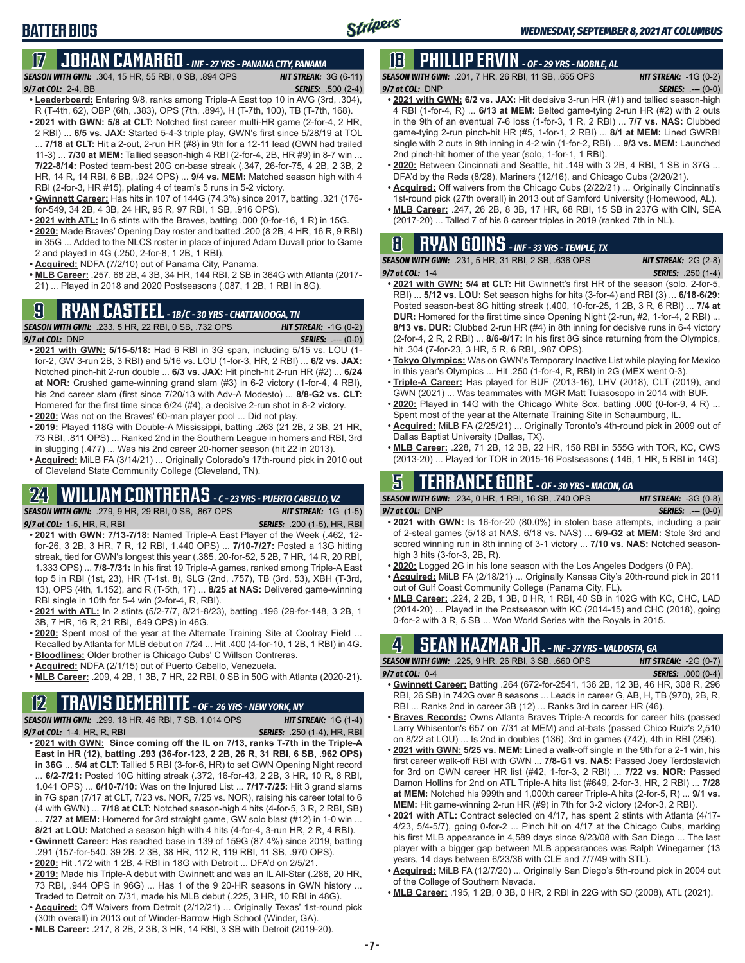## **BATTER BIOS**

## **17 JOHAN CAMARGO** *- INF - 27 YRS - PANAMA CITY, PANAMA*

*SEASON WITH GWN:*.304, 15 HR, 55 RBI, 0 SB, .894 OPS *HIT STREAK:* 3G (6-11) *9/7 at COL:* 2-4, BB *SERIES:* .500 (2-4)

- **• Leaderboard:** Entering 9/8, ranks among Triple-A East top 10 in AVG (3rd, .304), R (T-4th, 62), OBP (6th, .383), OPS (7th, .894), H (T-7th, 100), TB (T-7th, 168). **• 2021 with GWN: 5/8 at CLT:** Notched first career multi-HR game (2-for-4, 2 HR,
- 2 RBI) ... **6/5 vs. JAX:** Started 5-4-3 triple play, GWN's first since 5/28/19 at TOL ... **7/18 at CLT:** Hit a 2-out, 2-run HR (#8) in 9th for a 12-11 lead (GWN had trailed 11-3) ... **7/30 at MEM:** Tallied season-high 4 RBI (2-for-4, 2B, HR #9) in 8-7 win ... **7/22-8/14:** Posted team-best 20G on-base streak (.347, 26-for-75, 4 2B, 2 3B, 2 HR, 14 R, 14 RBI, 6 BB, .924 OPS) ... **9/4 vs. MEM:** Matched season high with 4 RBI (2-for-3, HR #15), plating 4 of team's 5 runs in 5-2 victory.
- **• Gwinnett Career:** Has hits in 107 of 144G (74.3%) since 2017, batting .321 (176 for-549, 34 2B, 4 3B, 24 HR, 95 R, 97 RBI, 1 SB, .916 OPS).
- **• 2021 with ATL:** In 6 stints with the Braves, batting .000 (0-for-16, 1 R) in 15G.
- **• 2020:** Made Braves' Opening Day roster and batted .200 (8 2B, 4 HR, 16 R, 9 RBI) in 35G ... Added to the NLCS roster in place of injured Adam Duvall prior to Game 2 and played in 4G (.250, 2-for-8, 1 2B, 1 RBI).
- **• Acquired:** NDFA (7/2/10) out of Panama City, Panama.
- **• MLB Career:** .257, 68 2B, 4 3B, 34 HR, 144 RBI, 2 SB in 364G with Atlanta (2017- 21) ... Played in 2018 and 2020 Postseasons (.087, 1 2B, 1 RBI in 8G).

## **9 RYAN CASTEEL** *- 1B/C - 30 YRS - CHATTANOOGA, TN*

|                 | <b>SEASON WITH GWN:</b> .233. 5 HR. 22 RBI. 0 SB. .732 OPS | <b>HIT STREAK: -1G (0-2)</b> |
|-----------------|------------------------------------------------------------|------------------------------|
| 9/7 at COL: DNP |                                                            | <b>SERIES:</b> $---(0-0)$    |

- **• 2021 with GWN: 5/15-5/18:** Had 6 RBI in 3G span, including 5/15 vs. LOU (1 for-2, GW 3-run 2B, 3 RBI) and 5/16 vs. LOU (1-for-3, HR, 2 RBI) ... **6/2 vs. JAX:** Notched pinch-hit 2-run double ... **6/3 vs. JAX:** Hit pinch-hit 2-run HR (#2) ... **6/24 at NOR:** Crushed game-winning grand slam (#3) in 6-2 victory (1-for-4, 4 RBI), his 2nd career slam (first since 7/20/13 with Adv-A Modesto) ... **8/8-G2 vs. CLT:** Homered for the first time since 6/24 (#4), a decisive 2-run shot in 8-2 victory.
- **• 2020:** Was not on the Braves' 60-man player pool ... Did not play.
- **• 2019:** Played 118G with Double-A Mississippi, batting .263 (21 2B, 2 3B, 21 HR, 73 RBI, .811 OPS) ... Ranked 2nd in the Southern League in homers and RBI, 3rd in slugging (.477) ... Was his 2nd career 20-homer season (hit 22 in 2013).
- **• Acquired:** MiLB FA (3/14/21) ... Originally Colorado's 17th-round pick in 2010 out of Cleveland State Community College (Cleveland, TN).

## **24 WILLIAM CONTRERAS** *- C - 23 YRS - PUERTO CABELLO, VZ*

*SEASON WITH GWN:*.279, 9 HR, 29 RBI, 0 SB, .867 OPS *HIT STREAK:* 1G (1-5)

*9/7 at COL:* 1-5, HR, R, RBI *SERIES:* .200 (1-5), HR, RBI

- **• 2021 with GWN: 7/13-7/18:** Named Triple-A East Player of the Week (.462, 12 for-26, 3 2B, 3 HR, 7 R, 12 RBI, 1.440 OPS) ... **7/10-7/27:** Posted a 13G hitting streak, tied for GWN's longest this year (.385, 20-for-52, 5 2B, 7 HR, 14 R, 20 RBI, 1.333 OPS) ... **7/8-7/31:** In his first 19 Triple-A games, ranked among Triple-A East top 5 in RBI (1st, 23), HR (T-1st, 8), SLG (2nd, .757), TB (3rd, 53), XBH (T-3rd, 13), OPS (4th, 1.152), and R (T-5th, 17) ... **8/25 at NAS:** Delivered game-winning RBI single in 10th for 5-4 win (2-for-4, R, RBI).
- **• 2021 with ATL:** In 2 stints (5/2-7/7, 8/21-8/23), batting .196 (29-for-148, 3 2B, 1 3B, 7 HR, 16 R, 21 RBI, .649 OPS) in 46G.
- **• 2020:** Spent most of the year at the Alternate Training Site at Coolray Field ... Recalled by Atlanta for MLB debut on 7/24 ... Hit .400 (4-for-10, 1 2B, 1 RBI) in 4G.
- **• Bloodlines:** Older brother is Chicago Cubs' C Willson Contreras.
- **• Acquired:** NDFA (2/1/15) out of Puerto Cabello, Venezuela.
- **• MLB Career:** .209, 4 2B, 1 3B, 7 HR, 22 RBI, 0 SB in 50G with Atlanta (2020-21).

### **12 TRAVIS DEMERITTE** *- OF - 26 YRS - NEW YORK, NY*

- *SEASON WITH GWN:*.299, 18 HR, 46 RBI, 7 SB, 1.014 OPS *HIT STREAK:* 1G (1-4) *9/7 at COL:*1-4, HR, R, RBI *SERIES:* .250 (1-4), HR, RBI **• 2021 with GWN: Since coming off the IL on 7/13, ranks T-7th in the Triple-A**
- **East in HR (12), batting .293 (36-for-123, 2 2B, 26 R, 31 RBI, 6 SB, .962 OPS) in 36G** ... **5/4 at CLT:** Tallied 5 RBI (3-for-6, HR) to set GWN Opening Night record ... **6/2-7/21:** Posted 10G hitting streak (.372, 16-for-43, 2 2B, 3 HR, 10 R, 8 RBI, 1.041 OPS) ... **6/10-7/10:** Was on the Injured List ... **7/17-7/25:** Hit 3 grand slams in 7G span (7/17 at CLT, 7/23 vs. NOR, 7/25 vs. NOR), raising his career total to 6 (4 with GWN) ... **7/18 at CLT:** Notched season-high 4 hits (4-for-5, 3 R, 2 RBI, SB)
- ... **7/27 at MEM:** Homered for 3rd straight game, GW solo blast (#12) in 1-0 win ... **8/21 at LOU:** Matched a season high with 4 hits (4-for-4, 3-run HR, 2 R, 4 RBI). **• Gwinnett Career:** Has reached base in 139 of 159G (87.4%) since 2019, batting
- .291 (157-for-540, 39 2B, 2 3B, 38 HR, 112 R, 119 RBI, 11 SB, .970 OPS). **• 2020:** Hit .172 with 1 2B, 4 RBI in 18G with Detroit ... DFA'd on 2/5/21.
- **• 2019:** Made his Triple-A debut with Gwinnett and was an IL All-Star (.286, 20 HR, 73 RBI, .944 OPS in 96G) ... Has 1 of the 9 20-HR seasons in GWN history Traded to Detroit on 7/31, made his MLB debut (.225, 3 HR, 10 RBI in 48G).
- **• Acquired:** Off Waivers from Detroit (2/12/21) ... Originally Texas' 1st-round pick (30th overall) in 2013 out of Winder-Barrow High School (Winder, GA).
- **• MLB Career:** .217, 8 2B, 2 3B, 3 HR, 14 RBI, 3 SB with Detroit (2019-20).

## **18 PHILLIP ERVIN** *- OF - 29 YRS - MOBILE, AL*

*SEASON WITH GWN:*.201, 7 HR, 26 RBI, 11 SB, .655 OPS *HIT STREAK:* -1G (0-2) *9/7 at COL:*DNP *SERIES:* .--- (0-0)

- **• 2021 with GWN: 6/2 vs. JAX:** Hit decisive 3-run HR (#1) and tallied season-high 4 RBI (1-for-4, R) ... **6/13 at MEM:** Belted game-tying 2-run HR (#2) with 2 outs in the 9th of an eventual 7-6 loss (1-for-3, 1 R, 2 RBI) ... **7/7 vs. NAS:** Clubbed game-tying 2-run pinch-hit HR (#5, 1-for-1, 2 RBI) ... **8/1 at MEM:** Lined GWRBI single with 2 outs in 9th inning in 4-2 win (1-for-2, RBI) ... **9/3 vs. MEM:** Launched 2nd pinch-hit homer of the year (solo, 1-for-1, 1 RBI).
- **• 2020:** Between Cincinnati and Seattle, hit .149 with 3 2B, 4 RBI, 1 SB in 37G ... DFA'd by the Reds (8/28), Mariners (12/16), and Chicago Cubs (2/20/21).
- **• Acquired:** Off waivers from the Chicago Cubs (2/22/21) ... Originally Cincinnati's 1st-round pick (27th overall) in 2013 out of Samford University (Homewood, AL).
- **• MLB Career:** .247, 26 2B, 8 3B, 17 HR, 68 RBI, 15 SB in 237G with CIN, SEA (2017-20) ... Talled 7 of his 8 career triples in 2019 (ranked 7th in NL).

## **8 RYAN GOINS** *- INF - 33 YRS - TEMPLE, TX*

| <b>SEASON WITH GWN:</b> .231. 5 HR. 31 RBI. 2 SB. .636 OPS                         | <b>HIT STREAK:</b> $2G(2-8)$ |
|------------------------------------------------------------------------------------|------------------------------|
| 9/7 at COL: $1-4$                                                                  | <b>SERIES:</b> .250 (1-4)    |
| • 2021 with GWN: 5/4 at CLT: Hit Gwinnett's first HR of the season (solo, 2-for-5, |                              |

- RBI) ... **5/12 vs. LOU:** Set season highs for hits (3-for-4) and RBI (3) ... **6/18-6/29:** Posted season-best 8G hitting streak (.400, 10-for-25, 1 2B, 3 R, 6 RBI) ... **7/4 at DUR:** Homered for the first time since Opening Night (2-run, #2, 1-for-4, 2 RBI) ... **8/13 vs. DUR:** Clubbed 2-run HR (#4) in 8th inning for decisive runs in 6-4 victory (2-for-4, 2 R, 2 RBI) ... **8/6-8/17:** In his first 8G since returning from the Olympics, hit .304 (7-for-23, 3 HR, 5 R, 6 RBI, .987 OPS).
- **• Tokyo Olympics:** Was on GWN's Temporary Inactive List while playing for Mexico in this year's Olympics ... Hit .250 (1-for-4, R, RBI) in 2G (MEX went 0-3).
- **• Triple-A Career:** Has played for BUF (2013-16), LHV (2018), CLT (2019), and GWN (2021) ... Was teammates with MGR Matt Tuiasosopo in 2014 with BUF.
- **• 2020:** Played in 14G with the Chicago White Sox, batting .000 (0-for-9, 4 R) ... Spent most of the year at the Alternate Training Site in Schaumburg, IL.
- **• Acquired:** MiLB FA (2/25/21) ... Originally Toronto's 4th-round pick in 2009 out of Dallas Baptist University (Dallas, TX).
- **• MLB Career:** .228, 71 2B, 12 3B, 22 HR, 158 RBI in 555G with TOR, KC, CWS (2013-20) ... Played for TOR in 2015-16 Postseasons (.146, 1 HR, 5 RBI in 14G).

#### **5 TERRANCE GORE** *- OF - 30 YRS - MACON, GA SEASON WITH GWN:*.234, 0 HR, 1 RBI, 16 SB, .740 OPS *HIT STREAK:* -3G (0-8)

*9/7 at COL:*DNP *SERIES:* .--- (0-0)

- **• 2021 with GWN:** Is 16-for-20 (80.0%) in stolen base attempts, including a pair of 2-steal games (5/18 at NAS, 6/18 vs. NAS) ... **6/9-G2 at MEM:** Stole 3rd and scored winning run in 8th inning of 3-1 victory ... **7/10 vs. NAS:** Notched season-
- high 3 hits (3-for-3, 2B, R). **• 2020:** Logged 2G in his lone season with the Los Angeles Dodgers (0 PA).
- **• Acquired:** MiLB FA (2/18/21) ... Originally Kansas City's 20th-round pick in 2011 out of Gulf Coast Community College (Panama City, FL).
- **• MLB Career:** .224, 2 2B, 1 3B, 0 HR, 1 RBI, 40 SB in 102G with KC, CHC, LAD (2014-20) ... Played in the Postseason with KC (2014-15) and CHC (2018), going 0-for-2 with 3 R, 5 SB ... Won World Series with the Royals in 2015.

## **4 SEAN KAZMAR JR.** *- INF - 37 YRS - VALDOSTA, GA*

| <b>SEASON WITH GWN:</b> .225, 9 HR, 26 RBI, 3 SB, .660 OPS                                                                         | <b>HIT STREAK: <math>-2G(0-7)</math></b> |
|------------------------------------------------------------------------------------------------------------------------------------|------------------------------------------|
| 9/7 at COL: $0-4$                                                                                                                  | <b>SERIES:</b> .000 (0-4)                |
| • Gwinnett Career: Batting .264 (672-for-2541, 136 2B, 12 3B, 46 HR, 308 R, 296<br>$P_{1}$ , $Q_{2}$ , $Q_{3}$ , $Q_{4}$ , $Q_{5}$ |                                          |

- RBI, 26 SB) in 742G over 8 seasons ... Leads in career G, AB, H, TB (970), 2B, R, RBI ... Ranks 2nd in career 3B (12) ... Ranks 3rd in career HR (46).
- **• Braves Records:** Owns Atlanta Braves Triple-A records for career hits (passed Larry Whisenton's 657 on 7/31 at MEM) and at-bats (passed Chico Ruiz's 2,510 on 8/22 at LOU) ... Is 2nd in doubles (136), 3rd in games (742), 4th in RBI (296).
- **• 2021 with GWN: 5/25 vs. MEM:** Lined a walk-off single in the 9th for a 2-1 win, his first career walk-off RBI with GWN ... **7/8-G1 vs. NAS:** Passed Joey Terdoslavich for 3rd on GWN career HR list (#42, 1-for-3, 2 RBI) ... **7/22 vs. NOR:** Passed Damon Hollins for 2nd on ATL Triple-A hits list (#649, 2-for-3, HR, 2 RBI) ... **7/28 at MEM:** Notched his 999th and 1,000th career Triple-A hits (2-for-5, R) ... **9/1 vs. MEM:** Hit game-winning 2-run HR (#9) in 7th for 3-2 victory (2-for-3, 2 RBI).
- **• 2021 with ATL:** Contract selected on 4/17, has spent 2 stints with Atlanta (4/17- 4/23, 5/4-5/7), going 0-for-2 ... Pinch hit on 4/17 at the Chicago Cubs, marking his first MLB appearance in 4,589 days since 9/23/08 with San Diego ... The last player with a bigger gap between MLB appearances was Ralph Winegarner (13 years, 14 days between 6/23/36 with CLE and 7/7/49 with STL).
- **• Acquired:** MiLB FA (12/7/20) ... Originally San Diego's 5th-round pick in 2004 out of the College of Southern Nevada.
- **• MLB Career:** .195, 1 2B, 0 3B, 0 HR, 2 RBI in 22G with SD (2008), ATL (2021).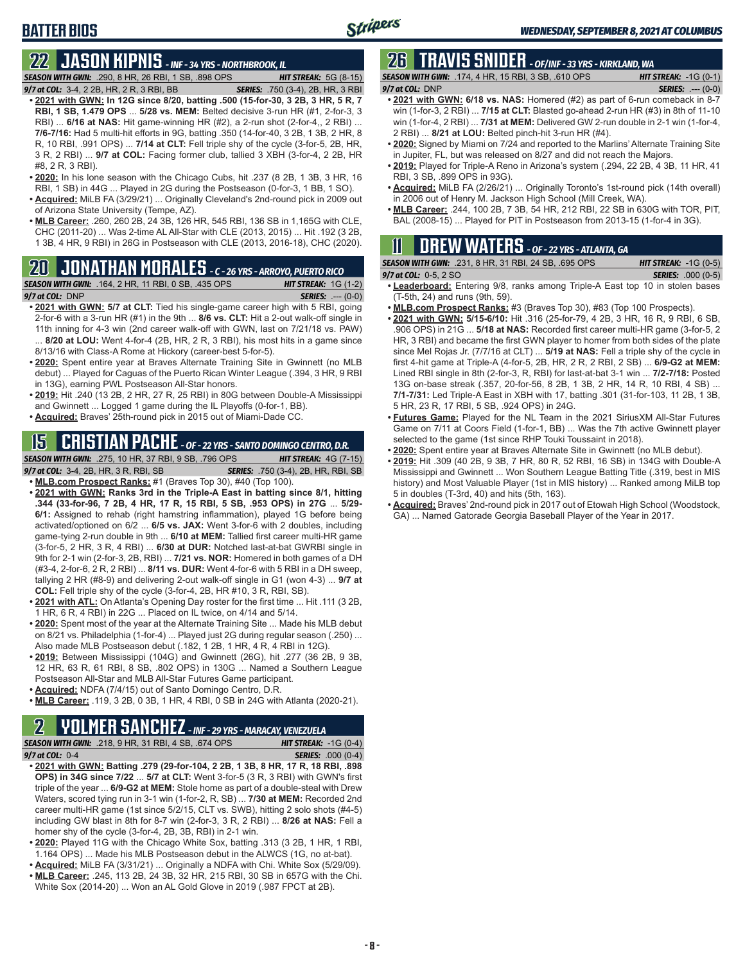# **22 JASON KIPNIS** *- INF - 34 YRS - NORTHBROOK, IL*

*SEASON WITH GWN:*.290, 8 HR, 26 RBI, 1 SB, .898 OPS *HIT STREAK:* 5G (8-15)

- *9/7 at COL:*3-4, 2 2B, HR, 2 R, 3 RBI, BB *SERIES:* .750 (3-4), 2B, HR, 3 RBI **• 2021 with GWN: In 12G since 8/20, batting .500 (15-for-30, 3 2B, 3 HR, 5 R, 7 RBI, 1 SB, 1.479 OPS** ... **5/28 vs. MEM:** Belted decisive 3-run HR (#1, 2-for-3, 3 RBI) ... **6/16 at NAS:** Hit game-winning HR (#2), a 2-run shot (2-for-4,, 2 RBI) ... **7/6-7/16:** Had 5 multi-hit efforts in 9G, batting .350 (14-for-40, 3 2B, 1 3B, 2 HR, 8 R, 10 RBI, .991 OPS) ... **7/14 at CLT:** Fell triple shy of the cycle (3-for-5, 2B, HR, 3 R, 2 RBI) ... **9/7 at COL:** Facing former club, tallied 3 XBH (3-for-4, 2 2B, HR #8, 2 R, 3 RBI).
- **• 2020:** In his lone season with the Chicago Cubs, hit .237 (8 2B, 1 3B, 3 HR, 16
- RBI, 1 SB) in 44G ... Played in 2G during the Postseason (0-for-3, 1 BB, 1 SO). **• Acquired:** MiLB FA (3/29/21) ... Originally Cleveland's 2nd-round pick in 2009 out of Arizona State University (Tempe, AZ).
- **• MLB Career:** .260, 260 2B, 24 3B, 126 HR, 545 RBI, 136 SB in 1,165G with CLE, CHC (2011-20) ... Was 2-time AL All-Star with CLE (2013, 2015) ... Hit .192 (3 2B, 1 3B, 4 HR, 9 RBI) in 26G in Postseason with CLE (2013, 2016-18), CHC (2020).

## **20 JONATHAN MORALES** *- C - 26 YRS - ARROYO, PUERTO RICO*

*SEASON WITH GWN:*.164, 2 HR, 11 RBI, 0 SB, .435 OPS *HIT STREAK:* 1G (1-2) *9/7 at COL:*DNP *SERIES:* .--- (0-0)

- **• 2021 with GWN: 5/7 at CLT:** Tied his single-game career high with 5 RBI, going 2-for-6 with a 3-run HR (#1) in the 9th ... **8/6 vs. CLT:** Hit a 2-out walk-off single in 11th inning for 4-3 win (2nd career walk-off with GWN, last on 7/21/18 vs. PAW) ... **8/20 at LOU:** Went 4-for-4 (2B, HR, 2 R, 3 RBI), his most hits in a game since 8/13/16 with Class-A Rome at Hickory (career-best 5-for-5).
- **• 2020:** Spent entire year at Braves Alternate Training Site in Gwinnett (no MLB debut) ... Played for Caguas of the Puerto Rican Winter League (.394, 3 HR, 9 RBI in 13G), earning PWL Postseason All-Star honors.
- **• 2019:** Hit .240 (13 2B, 2 HR, 27 R, 25 RBI) in 80G between Double-A Mississippi and Gwinnett ... Logged 1 game during the IL Playoffs (0-for-1, BB).
- **• Acquired:** Braves' 25th-round pick in 2015 out of Miami-Dade CC.

### **15 CRISTIAN PACHE** *- OF - 22 YRS - SANTO DOMINGO CENTRO, D.R.*

### *SEASON WITH GWN:*.275, 10 HR, 37 RBI, 9 SB, .796 OPS *HIT STREAK:* 4G (7-15)

*9/7 at COL:* 3-4, 2B, HR, 3 R, RBI, SB *SERIES:* .750 (3-4), 2B, HR, RBI, SB

**• MLB.com Prospect Ranks:** #1 (Braves Top 30), #40 (Top 100).

- **• 2021 with GWN: Ranks 3rd in the Triple-A East in batting since 8/1, hitting .344 (33-for-96, 7 2B, 4 HR, 17 R, 15 RBI, 5 SB, .953 OPS) in 27G** ... **5/29- 6/1:** Assigned to rehab (right hamstring inflammation), played 1G before being activated/optioned on 6/2 ... **6/5 vs. JAX:** Went 3-for-6 with 2 doubles, including game-tying 2-run double in 9th ... **6/10 at MEM:** Tallied first career multi-HR game (3-for-5, 2 HR, 3 R, 4 RBI) ... **6/30 at DUR:** Notched last-at-bat GWRBI single in 9th for 2-1 win (2-for-3, 2B, RBI) ... **7/21 vs. NOR:** Homered in both games of a DH (#3-4, 2-for-6, 2 R, 2 RBI) ... **8/11 vs. DUR:** Went 4-for-6 with 5 RBI in a DH sweep, tallying 2 HR (#8-9) and delivering 2-out walk-off single in G1 (won 4-3) ... **9/7 at COL:** Fell triple shy of the cycle (3-for-4, 2B, HR #10, 3 R, RBI, SB).
- **• 2021 with ATL:** On Atlanta's Opening Day roster for the first time ... Hit .111 (3 2B, 1 HR, 6 R, 4 RBI) in 22G ... Placed on IL twice, on 4/14 and 5/14.
- **• 2020:** Spent most of the year at the Alternate Training Site ... Made his MLB debut on 8/21 vs. Philadelphia (1-for-4) ... Played just 2G during regular season (.250) ... Also made MLB Postseason debut (.182, 1 2B, 1 HR, 4 R, 4 RBI in 12G).
- **• 2019:** Between Mississippi (104G) and Gwinnett (26G), hit .277 (36 2B, 9 3B, 12 HR, 63 R, 61 RBI, 8 SB, .802 OPS) in 130G ... Named a Southern League Postseason All-Star and MLB All-Star Futures Game participant.
- **• Acquired:** NDFA (7/4/15) out of Santo Domingo Centro, D.R.
- **• MLB Career:** .119, 3 2B, 0 3B, 1 HR, 4 RBI, 0 SB in 24G with Atlanta (2020-21).

# **2 YOURG - INF - 29 YRS - MARACAY, VENEZUELA<br><b>2 RBI, 4 SB, .674 OPS** *HIT STREAK:* -1G (0-4)

**SEASON WITH GWN:** .218, 9 HR, 31 RBI, 4 SB, .674 OPS *9/7 at COL:*0-4 *SERIES:* .000 (0-4)

- **• 2021 with GWN: Batting .279 (29-for-104, 2 2B, 1 3B, 8 HR, 17 R, 18 RBI, .898 OPS) in 34G since 7/22** ... **5/7 at CLT:** Went 3-for-5 (3 R, 3 RBI) with GWN's first triple of the year ... **6/9-G2 at MEM:** Stole home as part of a double-steal with Drew Waters, scored tying run in 3-1 win (1-for-2, R, SB) ... **7/30 at MEM:** Recorded 2nd career multi-HR game (1st since 5/2/15, CLT vs. SWB), hitting 2 solo shots (#4-5) including GW blast in 8th for 8-7 win (2-for-3, 3 R, 2 RBI) ... **8/26 at NAS:** Fell a homer shy of the cycle (3-for-4, 2B, 3B, RBI) in 2-1 win.
- **• 2020:** Played 11G with the Chicago White Sox, batting .313 (3 2B, 1 HR, 1 RBI, 1.164 OPS) ... Made his MLB Postseason debut in the ALWCS (1G, no at-bat).
- **• Acquired:** MiLB FA (3/31/21) ... Originally a NDFA with Chi. White Sox (5/29/09). **• MLB Career:** .245, 113 2B, 24 3B, 32 HR, 215 RBI, 30 SB in 657G with the Chi.
- White Sox (2014-20) ... Won an AL Gold Glove in 2019 (.987 FPCT at 2B).

## **26 TRAVIS SNIDER** *- OF/INF - 33 YRS - KIRKLAND, WA*

*SEASON WITH GWN:*.174, 4 HR, 15 RBI, 3 SB, .610 OPS *HIT STREAK:* -1G (0-1) *9/7 at COL:* DNP *SERIES:* .--- (0-0)

- **• 2021 with GWN: 6/18 vs. NAS:** Homered (#2) as part of 6-run comeback in 8-7 win (1-for-3, 2 RBI) ... **7/15 at CLT:** Blasted go-ahead 2-run HR (#3) in 8th of 11-10 win (1-for-4, 2 RBI) ... **7/31 at MEM:** Delivered GW 2-run double in 2-1 win (1-for-4, 2 RBI) ... **8/21 at LOU:** Belted pinch-hit 3-run HR (#4).
- **• 2020:** Signed by Miami on 7/24 and reported to the Marlins' Alternate Training Site in Jupiter, FL, but was released on 8/27 and did not reach the Majors.
- **• 2019:** Played for Triple-A Reno in Arizona's system (.294, 22 2B, 4 3B, 11 HR, 41 RBI, 3 SB, .899 OPS in 93G).
- **• Acquired:** MiLB FA (2/26/21) ... Originally Toronto's 1st-round pick (14th overall) in 2006 out of Henry M. Jackson High School (Mill Creek, WA).
- **• MLB Career:** .244, 100 2B, 7 3B, 54 HR, 212 RBI, 22 SB in 630G with TOR, PIT, BAL (2008-15) ... Played for PIT in Postseason from 2013-15 (1-for-4 in 3G).

## **11 Drew WATERS** *- OF - 22 YRS - ATLANTA, GA*

| <b>SEASON WITH GWN:</b> .231, 8 HR, 31 RBI, 24 SB, .695 OPS | <b>HIT STREAK:</b> $-1G(0-5)$ |
|-------------------------------------------------------------|-------------------------------|
| 9/7 at COL: $0-5, 2$ SO                                     | <b>SERIES:</b> .000 (0-5)     |

- **• Leaderboard:** Entering 9/8, ranks among Triple-A East top 10 in stolen bases (T-5th, 24) and runs (9th, 59).
- **• MLB.com Prospect Ranks:** #3 (Braves Top 30), #83 (Top 100 Prospects).
- **• 2021 with GWN: 5/15-6/10:** Hit .316 (25-for-79, 4 2B, 3 HR, 16 R, 9 RBI, 6 SB, .906 OPS) in 21G ... **5/18 at NAS:** Recorded first career multi-HR game (3-for-5, 2 HR, 3 RBI) and became the first GWN player to homer from both sides of the plate since Mel Rojas Jr. (7/7/16 at CLT) ... **5/19 at NAS:** Fell a triple shy of the cycle in first 4-hit game at Triple-A (4-for-5, 2B, HR, 2 R, 2 RBI, 2 SB) ... **6/9-G2 at MEM:** Lined RBI single in 8th (2-for-3, R, RBI) for last-at-bat 3-1 win ... **7/2-7/18:** Posted 13G on-base streak (.357, 20-for-56, 8 2B, 1 3B, 2 HR, 14 R, 10 RBI, 4 SB) ... **7/1-7/31:** Led Triple-A East in XBH with 17, batting .301 (31-for-103, 11 2B, 1 3B, 5 HR, 23 R, 17 RBI, 5 SB, .924 OPS) in 24G.
- **• Futures Game:** Played for the NL Team in the 2021 SiriusXM All-Star Futures Game on 7/11 at Coors Field (1-for-1, BB) ... Was the 7th active Gwinnett player selected to the game (1st since RHP Touki Toussaint in 2018).
- **• 2020:** Spent entire year at Braves Alternate Site in Gwinnett (no MLB debut).
- **• 2019:** Hit .309 (40 2B, 9 3B, 7 HR, 80 R, 52 RBI, 16 SB) in 134G with Double-A Mississippi and Gwinnett ... Won Southern League Batting Title (.319, best in MIS history) and Most Valuable Player (1st in MIS history) ... Ranked among MiLB top 5 in doubles (T-3rd, 40) and hits (5th, 163).
- **• Acquired:** Braves' 2nd-round pick in 2017 out of Etowah High School (Woodstock, GA) ... Named Gatorade Georgia Baseball Player of the Year in 2017.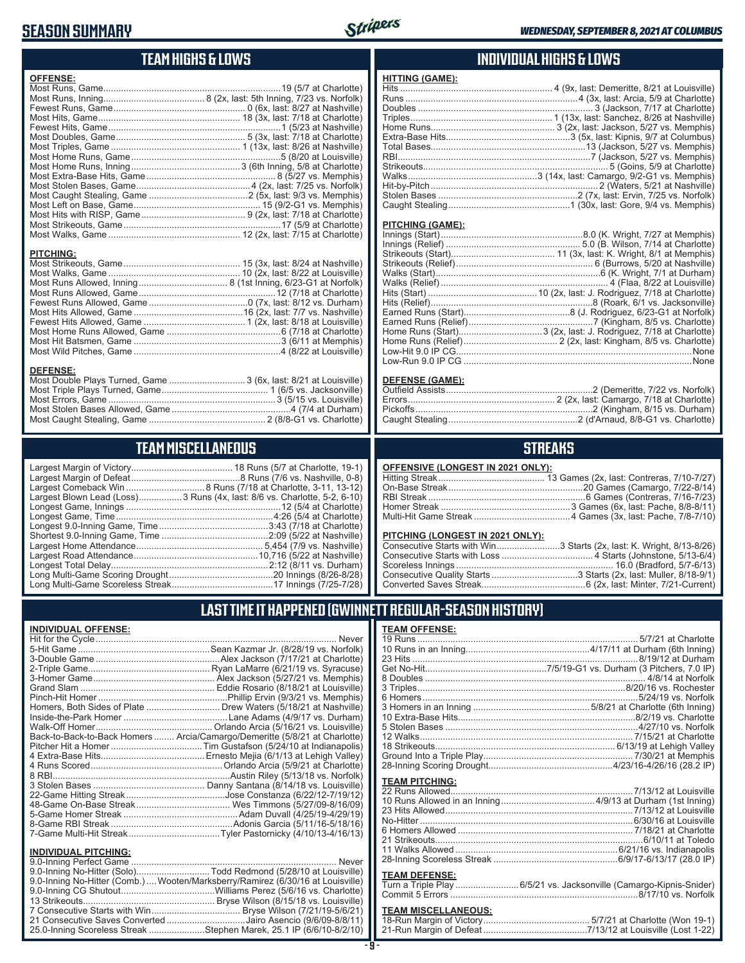### **SEASON SUMMARY**



### **TEAM HIGHS & LOWS**

| <b>OFFENSE:</b>                                                                     |  |
|-------------------------------------------------------------------------------------|--|
|                                                                                     |  |
|                                                                                     |  |
|                                                                                     |  |
|                                                                                     |  |
|                                                                                     |  |
|                                                                                     |  |
|                                                                                     |  |
|                                                                                     |  |
|                                                                                     |  |
|                                                                                     |  |
|                                                                                     |  |
|                                                                                     |  |
|                                                                                     |  |
|                                                                                     |  |
|                                                                                     |  |
|                                                                                     |  |
| <b>PITCHING:</b>                                                                    |  |
| <b>DEFENSE:</b><br>Most Double Plays Turned, Game  3 (6x, last: 8/21 at Louisville) |  |

# **TEAM MISCELLANEOUS**

Most Caught Stealing, Game .............................................. 2 (8/8-G1 vs. Charlotte)

| Largest Blown Lead (Loss) 3 Runs (4x, last: 8/6 vs. Charlotte, 5-2, 6-10) |
|---------------------------------------------------------------------------|
|                                                                           |
|                                                                           |
|                                                                           |
|                                                                           |
|                                                                           |
|                                                                           |
|                                                                           |
|                                                                           |
|                                                                           |

### **INDIVIDUAL HIGHS & LOWS**

| <b>HITTING (GAME):</b> |  |
|------------------------|--|
|                        |  |
|                        |  |
|                        |  |
|                        |  |
|                        |  |
|                        |  |
|                        |  |
|                        |  |
|                        |  |
|                        |  |
|                        |  |
|                        |  |
|                        |  |
|                        |  |

#### **PITCHING (GAME):**

| None |
|------|
|      |

#### **DEFENSE (GAME):**

### **STREAKS**

#### **OFFENSIVE (LONGEST IN 2021 ONLY):**

#### **PITCHING (LONGEST IN 2021 ONLY):**

| Consecutive Starts with Win3 Starts (2x, last: K. Wright, 8/13-8/26) |
|----------------------------------------------------------------------|
|                                                                      |
|                                                                      |
|                                                                      |
|                                                                      |

### **LAST TIME IT HAPPENED (GWINNETT REGULAR-SEASON HISTORY)**

#### **INDIVIDUAL OFFENSE:**

|                             | Homers, Both Sides of Plate  Drew Waters (5/18/21 at Nashville)            |
|-----------------------------|----------------------------------------------------------------------------|
|                             |                                                                            |
|                             |                                                                            |
|                             | Back-to-Back-to-Back Homers  Arcia/Camargo/Demeritte (5/8/21 at Charlotte) |
|                             |                                                                            |
|                             |                                                                            |
|                             |                                                                            |
|                             |                                                                            |
|                             |                                                                            |
|                             |                                                                            |
|                             |                                                                            |
|                             |                                                                            |
|                             |                                                                            |
|                             |                                                                            |
| <b>INDIVIDUAL PITCHING:</b> |                                                                            |
| 9 0-Inning Perfect Game     | Never                                                                      |

| 9.0-Inning No-Hitter (Solo)Todd Redmond (5/28/10 at Louisville)                 |  |
|---------------------------------------------------------------------------------|--|
| 9.0-Inning No-Hitter (Comb.)  Wooten/Marksberry/Ramirez (6/30/16 at Louisville) |  |
|                                                                                 |  |
|                                                                                 |  |
|                                                                                 |  |
| 21 Consecutive Saves Converted Jairo Asencio (9/6/09-8/8/11)                    |  |
| 25.0-Inning Scoreless Streak Stephen Marek, 25.1 IP (6/6/10-8/2/10)             |  |

#### **TEAM OFFENSE:**

| <b>TEAM PITCHING:</b> |                                             |
|-----------------------|---------------------------------------------|
|                       |                                             |
|                       |                                             |
|                       |                                             |
|                       |                                             |
|                       |                                             |
|                       |                                             |
|                       |                                             |
|                       |                                             |
| <b>TEAM DEFENSE:</b>  |                                             |
| Turn o Trinlo Dlou    | CED1 ve Looksamullo (Comorge Kinnig Chidar) |

#### Turn a Triple Play .........................6/5/21 vs. Jacksonville (Camargo-Kipnis-Snider) Commit 5 Errors ..........................................................................8/17/10 vs. Norfolk

## **TEAM MISCELLANEOUS:**<br>18-Run Margin of Victory....

| 21-Run Margin of Defeat…………………………………7/13/12 at Louisville (Lost 1-22) |
|-----------------------------------------------------------------------|